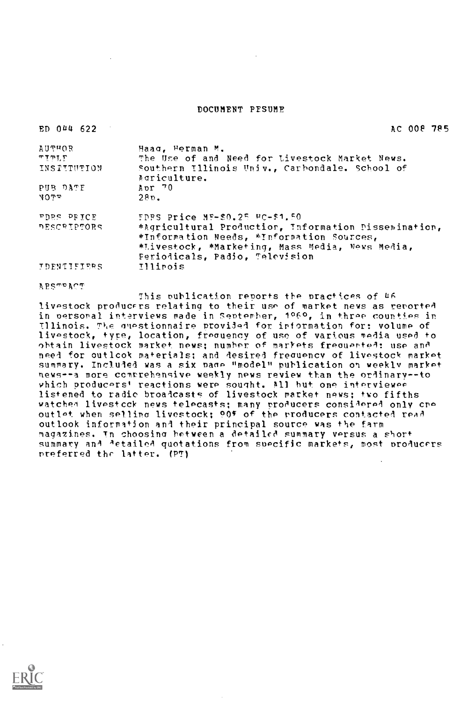#### DOCUMENT PESUME

| ED 044 622         | AC 008 785                                                                                        |
|--------------------|---------------------------------------------------------------------------------------------------|
| <b>AUTHOR</b>      | Haag, Herman M.                                                                                   |
| $\Psi$ ית ד        | The Use of and Need for Livestock Market News.                                                    |
| INSPITUTION        | Southern Illinois Univ., Carbondale. School of<br>Agriculture.                                    |
| PUB DATE           | Apr $70$                                                                                          |
| 4045               | $280$ .                                                                                           |
| FORS PRICE         | $FDRS$ Price $MP-S0.25$ PC-\$1.50                                                                 |
| PESCRIPTORS        | *Agricultural Production, Information Dissemination,<br>*Information Needs, *Information Sources, |
|                    | *Livestock, *Marketing, Mass Media, News Media,                                                   |
|                    | Periodicals, Padio, Television                                                                    |
| <b>IDENTIFIERS</b> | Illinois                                                                                          |

APSTAr'T

This publication reports the practices of 46 livestock producers relating to their use of market news as reported in personal interviews made in September, 1060, in three counties in Illinois. The questionnaire provided for information for: volume of livestock, type, location, freouency of use of various media used to obtain livestock market news; number of markets freouerted: use and need for outlook materials; and desired freguencv of livestock market summary. Included was a six page "model" publication on weekly market news--a more comprehensive weekly news review than the ordinary--to vhich producers' reactions were sought. All but one interviewee listened to radio broadcasts of livestock market news; two fifths watched livestock news telecasts; many producers considered only cre outlet when selling livestock; 00% of the producers contacted read outlook information and their principal source was the farm magazines. In choosing between a detailed summary versus a short summary and detailed quotations from suecific markets, most producers preferred the latter. (P7)

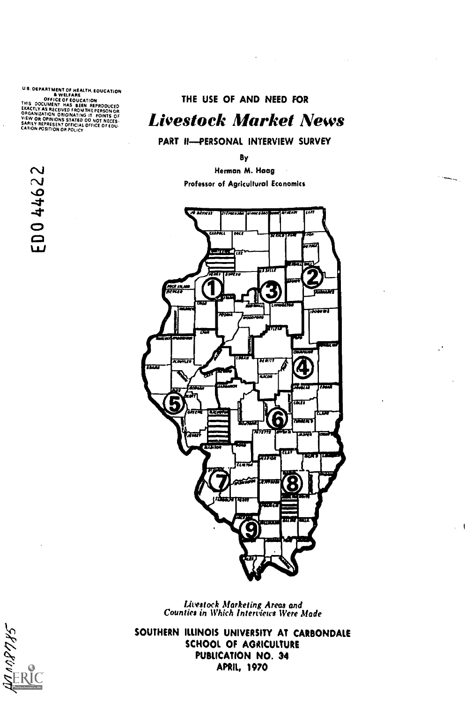U.S. DEPARTMENT OF HEALTH, EDUCATION<br>
OFFICE OF EQUICATION<br>THIS DOCUMENT HAS BEEN REPRODUCED<br>EXACTLY AS RECEIVED FROM THE PERSON OR<br>ORGANIZATION ORIGINATING IT. POINTS OF<br>VIEW OR OPINIONS STATED OO NOT NECES-<br>SARILY REPRES

ED044622

 $\mathcal{O}(\mathcal{O}_\mathcal{O})$  . The set of the set of the set of the set of the set of  $\mathcal{O}(\mathcal{O})$ 

# Livestock Market News

PART H-PERSONAL INTERVIEW SURVEY

By

Herman M. Haag Professor of Agricultural Economics



Livestock Marketing Areas and Counties in Which Interviews Were Made

SOUTHERN ILLINOIS UNIVERSITY AT CARBONDALE SCHOOL OF AGRICULTURE PUBLICATION NO. 34 APRIL, 1970

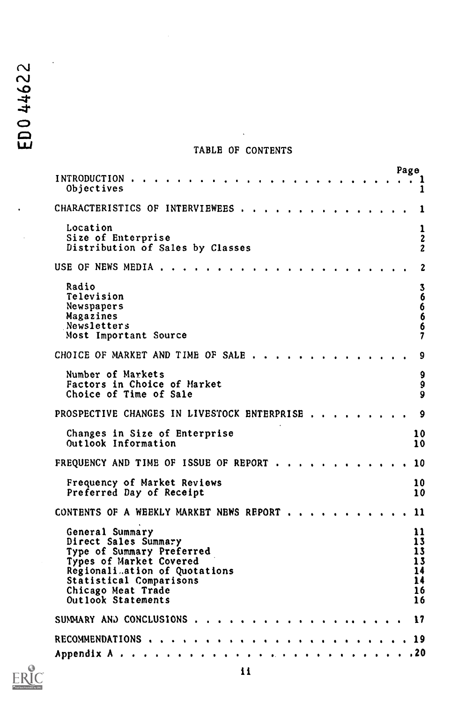# TABLE OF CONTENTS

|                                                                                                                                                                                                         | Page                                           |
|---------------------------------------------------------------------------------------------------------------------------------------------------------------------------------------------------------|------------------------------------------------|
| INTRODUCTION.<br>Objectives                                                                                                                                                                             | 1                                              |
| CHARACTERISTICS OF INTERVIEWEES.                                                                                                                                                                        |                                                |
| Location<br>Size of Enterprise<br>Distribution of Sales by Classes                                                                                                                                      | ı<br>$\overline{\mathbf{c}}$<br>$\overline{2}$ |
| USE OF NEWS MEDIA                                                                                                                                                                                       | $\boldsymbol{2}$                               |
| Radio<br>Television<br>Newspapers<br>Magazines<br>Newsletters<br>Most Important Source                                                                                                                  | 3<br>66<br>6<br>6<br>7                         |
| CHOICE OF MARKET AND TIME OF SALE                                                                                                                                                                       | 9                                              |
| Number of Markets<br>Factors in Choice of Market<br>Choice of Time of Sale                                                                                                                              | 9<br>9<br>9                                    |
| PROSPECTIVE CHANGES IN LIVESTOCK ENTERPRISE                                                                                                                                                             | 9                                              |
| Changes in Size of Enterprise<br>Outlook Information                                                                                                                                                    | 10<br>10                                       |
| FREQUENCY AND TIME OF ISSUE OF REPORT                                                                                                                                                                   | 10                                             |
| Frequency of Market Reviews<br>Preferred Day of Receipt                                                                                                                                                 | 10<br>10                                       |
| CONTENTS OF A WEEKLY MARKET NEWS REPORT                                                                                                                                                                 | 11                                             |
| General Summary<br>Direct Sales Summary<br>Type of Summary Preferred<br>Types of Market Covered<br>Regionali ation of Quotations<br>Statistical Comparisons<br>Chicago Meat Trade<br>Outlook Statements | 11<br>13<br>13<br>13<br>14<br>14<br>16<br>16   |
| SUMMARY AND CONCLUSIONS 17                                                                                                                                                                              |                                                |
|                                                                                                                                                                                                         |                                                |
|                                                                                                                                                                                                         |                                                |



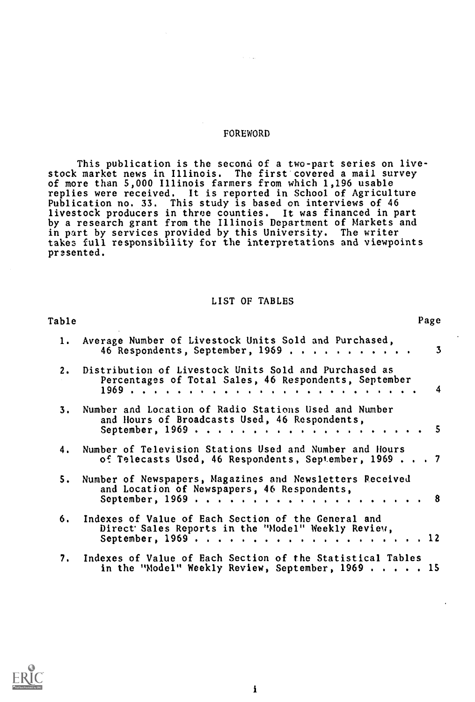#### FOREWORD

This publication is the second of a two-part series on livestock market news in Illinois. The first covered a mail survey of more than 5,000 Illinois farmers from which 1,196 usable replies were received. It is reported in School of Agriculture Publication no. 33. This study is based on interviews of 46 livestock producers in three counties. It was financed in part by a research grant from the Illinois Department of Markets and in part by services provided by this University. The writer takes full responsibility for the interpretations and viewpoints presented.

## LIST OF TABLES

| Table |                                                                                                                     | Page |
|-------|---------------------------------------------------------------------------------------------------------------------|------|
|       | 1. Average Number of Livestock Units Sold and Purchased,<br>46 Respondents, September, 1969                         | 3    |
|       | 2. Distribution of Livestock Units Sold and Purchased as<br>Percentages of Total Sales, 46 Respondents, September   |      |
|       | 3. Number and Location of Radio Stations Used and Number<br>and Hours of Broadcasts Used, 46 Respondents,           |      |
|       | 4. Number of Television Stations Used and Number and Hours<br>of Telecasts Used, 46 Respondents, September, 1969 7  |      |
|       | 5. Number of Newspapers, Magazines and Newsletters Received<br>and Location of Newspapers, 46 Respondents,          |      |
|       | 6. Indexes of Value of Each Section of the General and<br>Direct Sales Reports in the "Model" Weekly Review,        |      |
|       | 7. Indexes of Value of Each Section of the Statistical Tables<br>in the "Model" Weekly Review, September, $1969$ 15 |      |

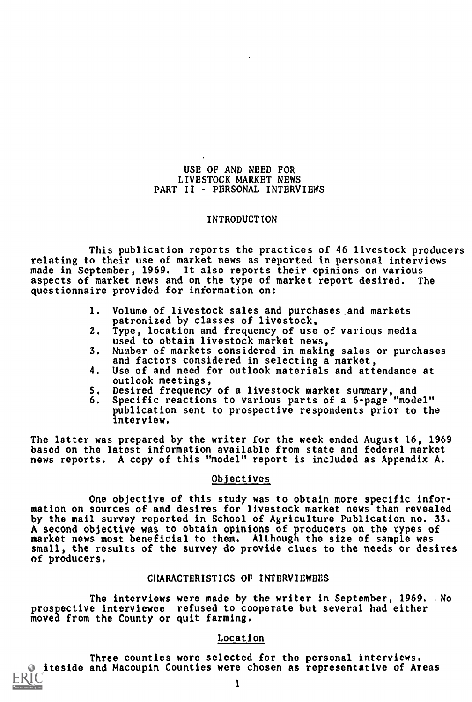#### USE OF AND NEED FOR LIVESTOCK MARKET NEWS PART II - PERSONAL INTERVIEWS

#### INTRODUCTION

This publication reports the practices of 46 livestock producers relating to their use of market news as reported in personal interviews made in September, 1969. It also reports their opinions on various aspects of market news and on the type of market report desired. The questionnaire provided for information on:

- 1. Volume of livestock sales and purchases,and markets patronized by classes of livestock,
- 2. Type, location and frequency of use of various media used to obtain livestock market news,
- 3. Number of markets considered in making sales or purchases and factors considered in selecting a market,
- 4. Use of and need for outlook materials and attendance at outlook meetings,
- S. Desired frequency of a livestock market summary, and
- 6. Specific reactions to various parts of a 6-page "model" publication sent to prospective respondents prior to the interview.

The latter was prepared by the writer for the week ended August 16, 1969 based on the latest information available from state and federal market news reports. A copy of this "model" report is included as Appendix A.

#### Objectives

One objective of this study was to obtain more specific infor $\cdot$ mation on sources of and desires for livestock market news than revealed by the mail survey reported in School of Agriculture Publication no. 33. A second objective was to obtain opinions of producers on the types of market news most beneficial to them. Although the size of sample was small, the results of the survey do provide clues to the needs or desires of producers.

## CHARACTERISTICS OF INTERVIEWEES

The interviews were made by the writer in September, 1969. No prospective interviewee refused to cooperate but several had either moved from the County or quit farming.

# Location

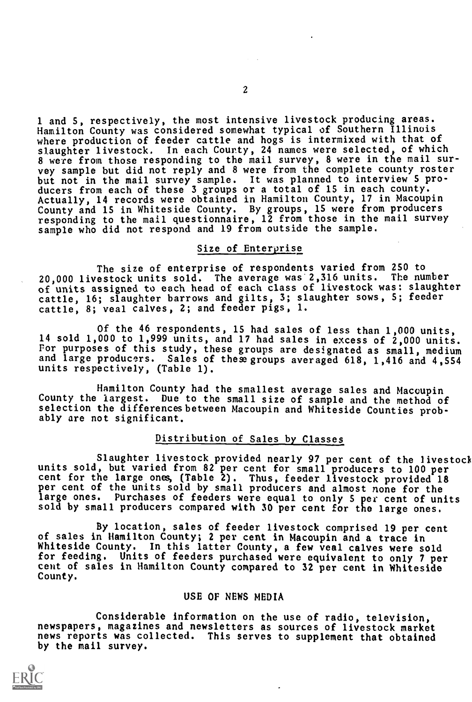1 and 5, respectively, the most intensive livestock producing areas. Hamilton County was considered somewhat typical of Southern Illinois where production of feeder cattle and hogs is intermixed with that of slaughter livestock. In each County, 24 names were selected, of which 8 were from those responding to the mail survey, 8 were in the mail survey sample but did not reply and 8 were from the complete county roster but not in the mail survey sample. It was planned to interview 5 producers from each of these 3 groups or a total of 15 in each county. Actually, 14 records were obtained in Hamilton County, 17 in Macoupin County and 15 in Whiteside County. By groups, 15 were from producers responding to the mail questionnaire, 12 from those in the mail survey sample who did not respond and 19 from outside the sample.

## Size of Enteryrise

The size of enterprise of respondents varied from 250 to 20,000 livestock units sold. The average was 2,316 units. The number of units assigned to each head of each class of livestock was: slaughter cattle, 16; slaughter barrows and gilts, 3; slaughter sows, S; feeder cattle, 8; veal calves, 2; and feeder pigs, 1.

Of the 46 respondents, 15 had sales of less than 1,000 units, 14 sold 1,000 to 1,999 units, and 17 had sales in excess of 2,000 units. For purposes of this study, these groups are designated as small, medium and large producers. Sales of thewgroups averaged 618, 1,416 and 4,554 units respectively, (Table 1).

Hamilton County had the smallest average sales and Macoupin County the largest. Due to the small size of sample and the method of selection the differences between Macoupin and Whiteside Counties probably are not significant.

## Distribution of Sales by Classes

Slaughter livestock provided nearly 97 per cent of the livestock units sold, but varied from 82 per cent for small producers to 100 per cent for the large ones, (Table 2). Thus, feeder livestock provided 18 per cent of the units sold by small producers and almost none for the large ones. Purchases of feeders were equal to only 5 per cent of units sold by small producers compared with 30 per cent for the large ones.

By location, sales of feeder livestock comprised 19 per cent of sales in Hamilton County; 2 per cent in Macoupin and a trace in Whiteside County. In this latter County, a few veal calves were sold for feeding. Units of feeders purchased were equivalent to only 7 per cent of sales in Hamilton County compared to 32 per cent in Whiteside County.

## USE OF NEWS MEDIA

Considerable information on the use of radio, television, newspapers, magazines and newsletters as sources of livestock market news reports was collected. This serves to supplement that obtained by the mail survey.

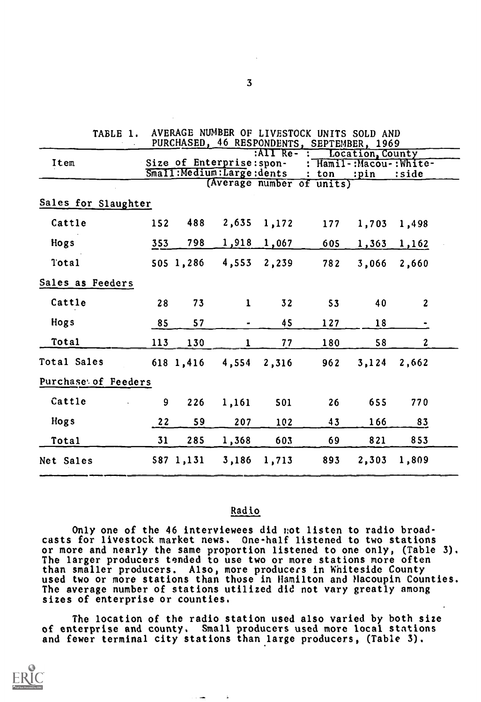| <b>TABLE 1.</b>     |     |           |                             |                | AVERAGE NUMBER OF LIVESTOCK UNITS SOLD AND |                  |                         |  |
|---------------------|-----|-----------|-----------------------------|----------------|--------------------------------------------|------------------|-------------------------|--|
|                     |     |           |                             | $RATT$ Re- $R$ | PURCHASED, 46 RESPONDENTS, SEPTEMBER, 1969 | Location, County |                         |  |
| Item                |     |           | Size of Enterprise: spon-   |                |                                            |                  | : Hamil-:Macou-: White- |  |
|                     |     |           | Small: Medium: Large: dents |                | $:$ ton                                    | :pin             | :side                   |  |
|                     |     |           |                             |                | (Average number of units)                  |                  |                         |  |
| Sales for Slaughter |     |           |                             |                |                                            |                  |                         |  |
| Cattle              | 152 | 488       | 2,635                       | 1,172          | 177                                        | 1,703            | 1,498                   |  |
| Hogs                | 353 | 798       | 1,918                       | 1,067          | 605                                        | 1,363            | 1,162                   |  |
| Total               |     | 505 1,286 | 4,553                       | 2,239          | 782                                        | 3,066            | 2,660                   |  |
| Sales as Feeders    |     |           |                             |                |                                            |                  |                         |  |
| Cattle              | 28  | 73        | $\mathbf{1}$                | 32             | 53                                         | 40               | $\boldsymbol{2}$        |  |
| Hogs                | 85  | 57        | $\blacksquare$              | 45             | 127                                        | 18               |                         |  |
| Total               | 113 | 130       | 1                           | 77             | 180                                        | 58               | $\mathbf{z}$            |  |
| Total Sales         |     | 618 1,416 | 4,554                       | 2,316          | 962                                        | 3,124            | 2,662                   |  |
| Purchase of Feeders |     |           |                             |                |                                            |                  |                         |  |
| Cattle              | 9   | 226       | 1,161                       | 501            | 26                                         | 655              | 770                     |  |
| <b>Hogs</b>         | 22  | 59        | 207                         | 102            | 43                                         | 166              | 83                      |  |
| Total               | 31  | 285       | 1,368                       | 603            | 69                                         | 821              | 853                     |  |
| Net Sales           |     | 587 1,131 | 3,186                       | 1,713          | 893                                        | 2,303            | 1,809                   |  |

#### Radio

Only one of the 46 interviewees did not listen to radio broadcasts for livestock market news. One-half listened to two stations or more and nearly the same proportion listened to one only, (Table 3). The larger producers tended to use two or more stations more often than smaller producers. Also, more producers in Whiteside County used two or more stations than those in Hamilton and Hacoupin Counties. The average number of stations utilized did not vary greatly among sizes of enterprise or counties.

The location of the radio station used also varied by both size of enterprise and county. Small producers used more local stations and fewer terminal city stations than large producers, (Table 3).

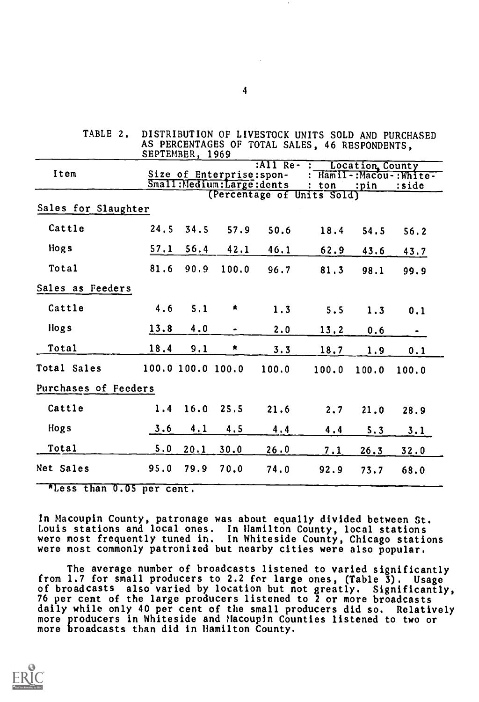| TABLE 2.             |      | SEPTEMBER, 1969   |                                                       |               | DISTRIBUTION OF LIVESTOCK UNITS SOLD AND PURCHASED<br>AS PERCENTAGES OF TOTAL SALES, 46 RESPONDENTS, |                         |                                 |
|----------------------|------|-------------------|-------------------------------------------------------|---------------|------------------------------------------------------------------------------------------------------|-------------------------|---------------------------------|
| Item                 |      |                   | Size of Enterprise: spon-<br>Small:Medium:Large:dents | :All $Re -$ : | ton                                                                                                  | Location County<br>:pin | : Hamil-:Macou-:White-<br>:side |
| Sales for Slaughter  |      |                   |                                                       |               | (Percentage of Units Sold)                                                                           |                         |                                 |
| Cattle               | 24.5 | 34.5              | 57.9                                                  | 50.6          | 18.4                                                                                                 | 54.5                    | 56.2                            |
| Hogs                 | 57.1 | 56.4              | 42.1                                                  | 46.1          | 62.9                                                                                                 | 43.6                    | 43.7                            |
| Total                | 81.6 | 90.9              | 100.0                                                 | 96.7          | 81.3                                                                                                 | 98.1                    | 99.9                            |
| Sales as Feeders     |      |                   |                                                       |               |                                                                                                      |                         |                                 |
| Cattle               | 4.6  | 5.1               | ۸.                                                    | 1.3           | 5.5                                                                                                  | 1.3                     | 0.1                             |
| Hogs                 | 13.8 | 4.0               | ٠                                                     | 2.0           | 13.2                                                                                                 | 0.6                     |                                 |
| Total                | 18.4 | 9.1               | $\star$                                               | 3.3           | 18.7                                                                                                 | 1.9                     | 0.1                             |
| Total Sales          |      | 100.0 100.0 100.0 |                                                       | 100.0         | 100.0                                                                                                | 100.0                   | 100.0                           |
| Purchases of Feeders |      |                   |                                                       |               |                                                                                                      |                         |                                 |
| Cattle               |      | $1.4$ 16.0 25.5   |                                                       | 21.6          | 2.7                                                                                                  | 21.0                    | 28.9                            |
| Hogs                 | 3.6  | 4.1               | 4.5                                                   | 4.4           | 4.4                                                                                                  | 5.3                     | 3.1                             |
| Total                | 5.0  | 20.1              | 30.0                                                  | 26.0          | 7.1                                                                                                  | 26.3                    | 32.0                            |
| Net Sales            | 95.0 | 79.9              | 70.0                                                  | 74.0          | 92.9                                                                                                 | 73.7                    | 68.0                            |

\*Less than 0.05 per cent.

In Macoupin County, patronage was about equally divided between St. Louis stations and local ones. In Hamilton County, local stations were most frequently tuned in. In Whiteside County, Chicago stations were most commonly patronized but nearby cities were also popular.

The average number of broadcasts listened to varied significantly from 1.7 for small producers to 2.2 for large ones, (Table 3). Usage of broadcasts also varied by location but not greatly. Significantly, 76 per cent of the large producers listened to 2 or more broadcasts daily while only 40 per cent of the small producers did so. Relatively more producers in Whiteside and Macoupin Counties listened to two or more broadcasts than did in Hamilton County.

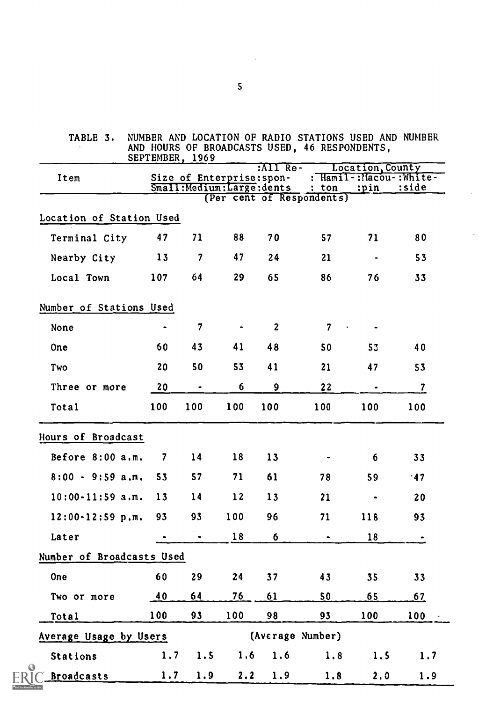| TABLE 3.                  |     | SEPTEMBER, 1969         |     |                                                               | NUMBER AND LOCATION OF RADIO STATIONS USED AND NUMBER<br>AND HOURS OF BROADCASTS USED, 46 RESPONDENTS, |                                                      |                  |
|---------------------------|-----|-------------------------|-----|---------------------------------------------------------------|--------------------------------------------------------------------------------------------------------|------------------------------------------------------|------------------|
| Item                      |     |                         |     | $\overline{MIT}$ $\overline{Re}$<br>Size of Enterprise: spon- | Small: Medium: Large: dents : ton                                                                      | Location, County<br>: Hamil-: Macou-: White-<br>:pin | :side            |
|                           |     |                         |     |                                                               | (Per cent of Respondents)                                                                              |                                                      |                  |
| Location of Station Used  |     |                         |     |                                                               |                                                                                                        |                                                      |                  |
| Terminal City             | 47  | 71                      | 88  | 70                                                            | 57                                                                                                     | 71                                                   | 80               |
| Nearby City               | 13  | $\overline{\mathbf{7}}$ | 47  | 24                                                            | 21                                                                                                     | $\bullet$                                            | 53               |
| Local Town                | 107 | 64                      | 29  | 65                                                            | 86                                                                                                     | 76                                                   | 33               |
| Number of Stations Used   |     |                         |     |                                                               |                                                                                                        |                                                      |                  |
| None                      |     | $\overline{7}$          |     | $\mathbf{2}$                                                  | $7\overline{ }$<br>$\sim 10$                                                                           |                                                      |                  |
| One                       | 60  | 43                      | 41  | 48                                                            | 50                                                                                                     | 53                                                   | 40               |
| Two                       | 20  | 50                      | 53  | 41                                                            | 21                                                                                                     | 47                                                   | 53               |
| Three or more             | 20  |                         | 6   | $\boldsymbol{9}$                                              | 22                                                                                                     |                                                      | $\boldsymbol{7}$ |
| Total                     | 100 | 100                     | 100 | 100                                                           | 100                                                                                                    | 100                                                  | 100              |
| Hours of Broadcast        |     |                         |     |                                                               |                                                                                                        |                                                      |                  |
| Before $8:00$ a.m.        | 7   | 14                      | 18  | 13                                                            |                                                                                                        | 6                                                    | 33               |
| $8:00 - 9:59$ a.m.        | 53  | 57                      | 71  | 61                                                            | 78                                                                                                     | 59                                                   | .47              |
| $10:00 - 11:59$ a.m.      | 13  | 14                      | 12  | 13                                                            | 21                                                                                                     | $\bullet$                                            | 20               |
| $12:00 - 12:59$ p.m.      | 93  | 93                      | 100 | 96                                                            | 71                                                                                                     | 118                                                  | 93               |
| Later                     |     |                         | 18  | 6                                                             | $\bullet$                                                                                              | 18                                                   |                  |
| Number of Broadcasts Used |     |                         |     |                                                               |                                                                                                        |                                                      |                  |
| <b>One</b>                | 60  | 29                      | 24  | 37                                                            | 43                                                                                                     | 35                                                   | 33               |
| Two or more               | 40  | 64                      | 76  | 61                                                            | 50                                                                                                     | 65                                                   | 67               |
| Total                     | 100 | 93                      | 100 | 98                                                            | 93                                                                                                     | 100                                                  | 100              |
| Average Usage by Users    |     |                         |     | (Average Number)                                              |                                                                                                        |                                                      |                  |
| Stations                  | 1.7 | 1.5                     | 1.6 | 1.6                                                           | 1.8                                                                                                    | 1.5                                                  | 1.7              |
| <b>Broadcasts</b>         | 1,7 | 1.9                     | 2.2 | 1.9                                                           | 1.8                                                                                                    | 2.0                                                  | 1.9              |

 $ER$ 

RIC

5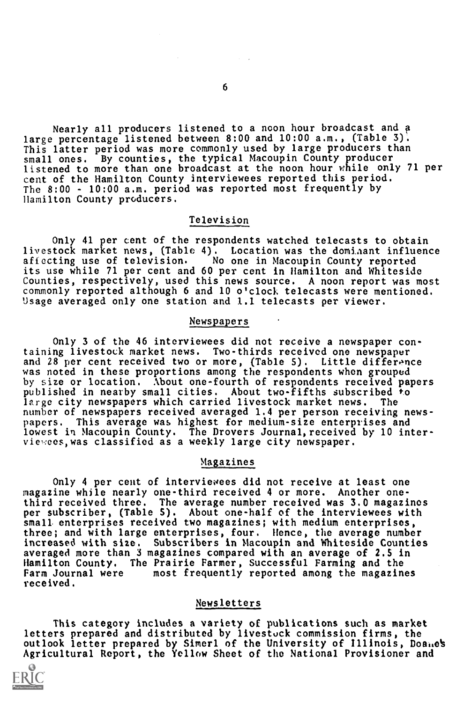Nearly all producers listened to a noon hour broadcast and a large percentage listened between 8:00 and 10:00 a.m., (Table 3). This latter period was more commonly used by large producers than small ones. By counties, the typical Macoupin County producer listened to more than one broadcast at the noon hour while only 71 per cent of the Hamilton County interviewees reported this period. The 8:00 - 10:00 a.m. period was reported most frequently by Hamilton County producers.

#### Television

Only 41 per cent of the respondents watched telecasts to obtain livestock market news, (Table 4). Location was the domiaant influence affecting use of television. No one in Macoupin County reported its use while 71 per cent and 60 per cent in Hamilton and Whiteside Counties, respectively, used this news source. A noon report was most commonly reported although 6 and 10 o'clock telecasts were mentioned. Usage averaged only one station and 1.1 telecasts per viewer.

# Newspapers

Only 3 of the 46 interviewees did not receive a newspaper containing livestock market news. Two-thirds received one newspaper and 28 per cent received two or more, (Table 5). Little difference was noted in these proportions among the respondents when grouped by size or location. About one-fourth of respondents received papers published in nearby small cities. About two-fifths subscribed to large city newspapers which carried livestock market news. The number of newspapers received averaged 1.4 per person receiving newspapers. This average was highest for medium-size enterprises and lowest in Macoupin County. The Drovers Journal, received by 10 interviewees,was classified as a weekly large city newspaper.

# Magazines

Only 4 per cent of interviewees did not receive at least one magazine while nearly one-third received 4 or more. Another onethird received three. The average number received was 3.0 magazines per subscriber, (Table 5). About one-half of the interviewees with small enterprises received two magazines; with medium enterprises, three; and with large enterprises, four. Hence, the average number increased with size. Subscribers in Macoupin and Whiteside Counties averaged more than 3 magazines compared with an average of 2.S in Hamilton County. The Prairie Farmer, Successful Farming and the Farm Journal were most frequently reported among the magazines received.

#### Newsletters

This category includes a variety of publications such as market letters prepared and distributed by livestock commission firms, the outlook letter prepared by Simerl of the University of Illinois, Doanes Agricultural Report, the Yellow Sheet of the National Provisioner and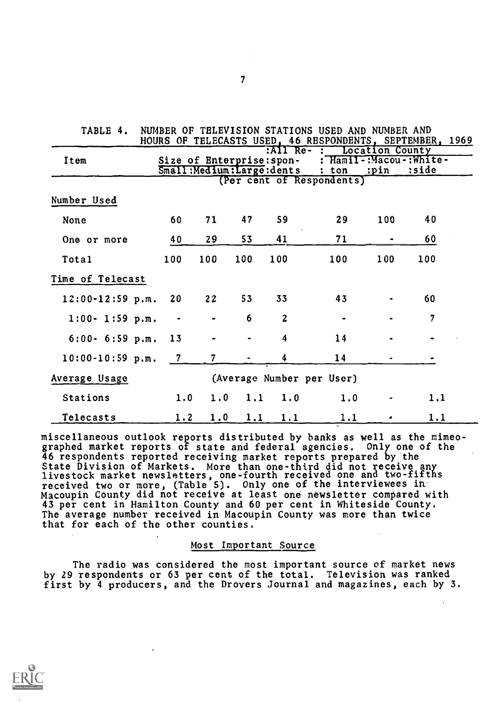| TABLE 4.             |                |                |     |                                                                            | NUMBER OF TELEVISION STATIONS USED AND NUMBER AND<br>HOURS OF TELECASTS USED, 46 RESPONDENTS, SEPTEMBER, 1969 |     |                                  |  |
|----------------------|----------------|----------------|-----|----------------------------------------------------------------------------|---------------------------------------------------------------------------------------------------------------|-----|----------------------------------|--|
| Item                 |                |                |     | R11 <sub>Re</sub><br>Size of Enterprise: spon-<br>Small:Medium:Large:dents | : Location County<br>$: \text{ton} \quad \text{ipin}$<br>(Per cent of Respondents)                            |     | : Hamil-:Macou-: White-<br>:side |  |
| Number Used          |                |                |     |                                                                            |                                                                                                               |     |                                  |  |
| None                 | 60             | 71             | 47  | 59                                                                         | 29                                                                                                            | 100 | 40                               |  |
| One or more          | 40             | 29             | 53  | 41                                                                         | 71                                                                                                            | ۰   | 60                               |  |
| Total                | 100            | 100            | 100 | 100                                                                        | 100                                                                                                           | 100 | 100                              |  |
| Time of Telecast     |                |                |     |                                                                            |                                                                                                               |     |                                  |  |
| $12:00 - 12:59$ p.m. | 20             | 22             | 53  | 33                                                                         | 43                                                                                                            |     | 60                               |  |
| $1:00 - 1:59$ p.m.   | $\bullet$      |                | 6   | $\overline{2}$                                                             |                                                                                                               |     | 7                                |  |
| $6:00 - 6:59$ p.m.   | 13             |                |     | 4                                                                          | 14                                                                                                            |     |                                  |  |
| $10:00-10:59$ p.m.   | $\overline{7}$ | $7\phantom{.}$ |     | 4                                                                          | 14                                                                                                            |     |                                  |  |
| Average Usage        |                |                |     |                                                                            | (Average Number per User)                                                                                     |     |                                  |  |
| Stations             | 1.0            | 1.0            | 1.1 | 1.0                                                                        | 1.0                                                                                                           |     | 1,1                              |  |
| Telecasts            | 1.2            | 1.0            | 1.1 | 1.1                                                                        | 1.1                                                                                                           |     | 1,1                              |  |

miscellaneous outlook reports distributed by banks as well as the mimeographed market reports of state and federal agencies. Only one of the 46 respondents reported receiving market reports prepared by the State Division of Markets. More than one-third did not receive any livestock market newsletters, one-fourth received one and two-fifths received two or more, (Table 5). Only one of the interviewees in Macoupin County did not receive at least one newsletter compared with 43 per cent in Hamilton County and 60 per cent in Whiteside County. The average number received in Macoupin County was more than twice that for each of the other counties.

#### Most Important Source

The radio was considered the most important source of market news by 29 respondents or 63 per cent of the total. Television was ranked first by 4 producers, and the Drovers Journal and magazines, each by 3.



 $\mathcal{F}$  and  $\mathcal{F}$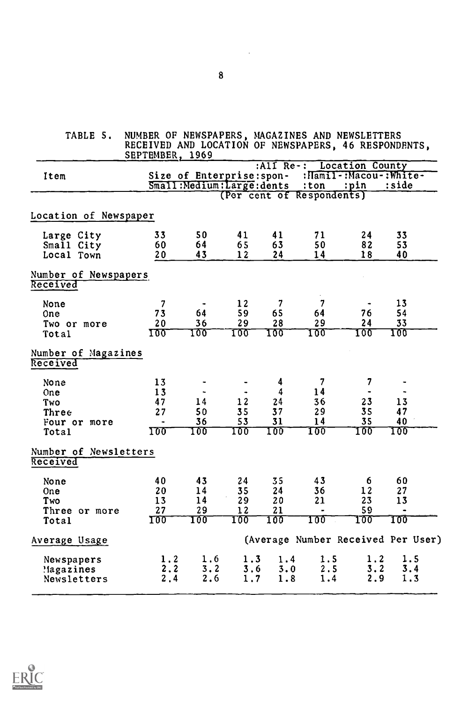| TABLE 5.                                                    | NUMBER OF NEWSPAPERS, MAGAZINES AND NEWSLETTERS<br>RECEIVED AND LOCATION OF NEWSPAPERS, 46 RESPONDENTS,<br>SEPTEMBER, 1969 |                                                          |                             |                                                |                                                 |                                                       |                                    |
|-------------------------------------------------------------|----------------------------------------------------------------------------------------------------------------------------|----------------------------------------------------------|-----------------------------|------------------------------------------------|-------------------------------------------------|-------------------------------------------------------|------------------------------------|
| Item                                                        |                                                                                                                            | Size of Enterprise: spon-<br>Small: Medium: Large: dents |                             | : $\overline{A11}$ $Re-$ :                     | $:$ ton<br>(Per cent of Respondents)            | <b>Location County</b><br>:pin                        | :Hamil-:Macou-:White-<br>:side     |
| Location of Newspaper                                       |                                                                                                                            |                                                          |                             |                                                |                                                 |                                                       |                                    |
| Large City<br>Small City<br>Local Town                      | 33<br>60<br>20 <sub>o</sub>                                                                                                | 50<br>64<br>43                                           | 41<br>65<br>12              | 41<br>63<br>24                                 | 71<br>50<br>14                                  | 24<br>82<br>18                                        | 33<br>53<br>40                     |
| Number of Newspapers<br>Received                            |                                                                                                                            |                                                          |                             |                                                |                                                 |                                                       |                                    |
| None<br>0ne<br>Two or more<br>Total                         | $\overline{7}$<br>73<br>20<br>100                                                                                          | 64<br>36<br>100                                          | 12<br>59<br>29<br>100       | $\overline{\mathbf{7}}$<br>65<br>28<br>100     | $\overline{\mathbf{7}}$<br>64<br>29<br>100      | 76<br>24<br>100                                       | 13<br>54<br>33<br>100              |
| Number of Magazines<br>Received                             |                                                                                                                            |                                                          |                             |                                                |                                                 |                                                       |                                    |
| None<br>One<br>Two<br>Three<br>Four or more<br><b>Total</b> | 13<br>13<br>47<br>27<br>100                                                                                                | $\overline{\phantom{a}}$<br>14<br>50<br>36<br>100        | 12<br>35<br>53<br>100       | $\boldsymbol{4}$<br>4<br>24<br>37<br>31<br>100 | $\boldsymbol{7}$<br>14<br>36<br>29<br>14<br>100 | $\overline{\mathbf{7}}$<br>۰<br>23<br>35<br>35<br>100 | 13<br>47<br>40<br>100              |
| Number of Newsletters<br>Received                           |                                                                                                                            |                                                          |                             |                                                |                                                 |                                                       |                                    |
| None<br><b>One</b><br>Two<br>Three or more<br>Total         | 40<br>20<br>13<br>27<br><b>100</b>                                                                                         | 43<br>14<br>14<br>29<br>TQQ                              | 24<br>35<br>29<br>12<br>TOO | 35<br>24<br>20<br>21<br>100                    | 43<br>36<br>21<br>$\blacksquare$<br>100         | 6<br>12<br>23<br>59<br>100                            | 60<br>27<br>13<br>TOÕ              |
| Average Usage                                               |                                                                                                                            |                                                          |                             |                                                |                                                 |                                                       | (Average Number Received Per User) |
| Newspapers<br>Magazines!<br>Newsletters                     | 1.2<br>2.2<br>2, 4                                                                                                         | 1.6<br>3.2<br>2.6                                        | 1.3<br>3.6<br>1.7           | 1.4<br>3.0<br>1.8                              | 1.5<br>2.5<br>1.4                               | 1.2<br>3.2<br>2.9                                     | 1.5<br>3.4<br>1.3                  |



 $\hat{\mathcal{L}}$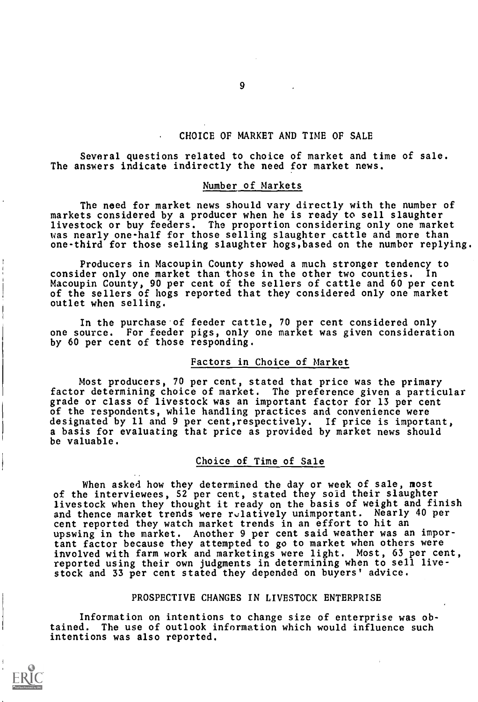#### CHOICE OF MARKET AND TIME OF SALE

Several questions related to choice of market and time of sale. The answers indicate indirectly the need for market news.

#### Number of Markets

The need for market news should vary directly with the number of markets considered by a producer when he is ready to sell slaughter livestock or buy feeders. The proportion considering only one market uas nearly one-half for those selling slaughter cattle and more than one-third for those selling slaughter hogs,based on the number replying.

Producers in Macoupin County showed a much stronger tendency to consider only one market than those in the other two counties. Macoupin County, 90 per cent of the sellers of cattle and 60 per cent of the sellers of hogs reported that they considered only one market outlet when selling.

In the purchase of feeder cattle, 70 per cent considered only one source. For feeder pigs, only one market was given consideration by 60 per cent of those responding.

# Factors in Choice of Market

Most producers, 70 per cent, stated that price was the primary factor determining choice of market. The preference given a particular grade or class of livestock was an important factor for 13 per cent of the respondents, while handling practices and convenience were designated by 11 and 9 per cent,respectively. If price is important, a basis for evaluating that price as provided by market news should be valuable.

#### Choice of Time of Sale

When asked how they determined the day or week of sale, most of the interviewees, 52 per cent, stated they sold their slaughter livestock when they thought it ready on the basis of weight and finish and thence market trends were rulatively unimportant. Nearly 40 per cent reported they watch market trends in an effort to hit an upswing in the market. Another 9 per cent said weather was an important factor because they attempted to go to market when others were involved with farm work and marketings were light. Most, 63 per cent, reported using their own judgments in determining when to sell livestock and 33 per cent stated they depended on buyers' advice.

#### PROSPECTIVE CHANGES IN LIVESTOCK ENTERPRISE

Information on intentions to change size of enterprise was obtained. The use of outlook information which would influence such intentions was also reported.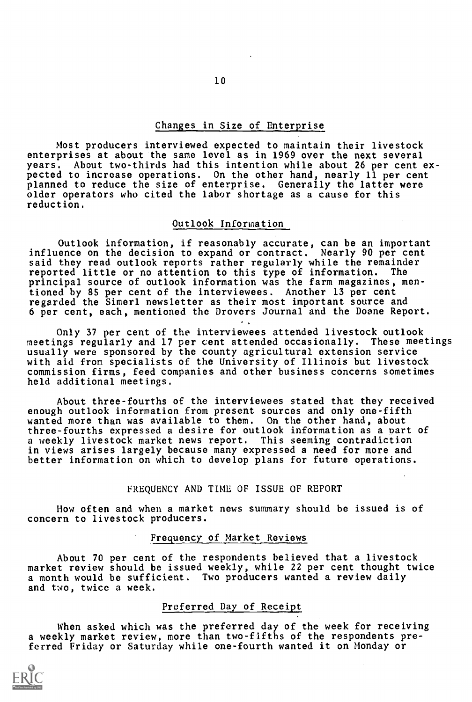#### Changes in Size of Enterprise

Most producers interviewed expected to maintain their livestock enterprises at about the same level as in 1969 over the next several years. About two-thirds had this intention while about 26 per cent expected to increase operations. On the other hand, nearly 11 per cent planned to reduce the size of enterprise. Generally the latter were older operators who cited the labor shortage as a cause for this reduction.

#### Outlook Information

Outlook information, if reasonably accurate, can be an important influence on the decision to expand or contract. Nearly 90 per cent said they read outlook reports rather regularly while the remainder reported little or no attention to this type of information. The principal source of outlook information was the farm magazines, mentioned by 85 per cent of the interviewees. Another 13 per cent regarded the Simerl newsletter as their most important source and 6 per cent, each, mentioned the Drovers Journal and the Doane Report.

Only 37 per cent of the interviewees attended livestock outlook meetings regularly and 17 per cent attended occasionally. These meetings usually were sponsored by the county agricultural extension service with aid from specialists of the University of Illinois but livestock commission firms, feed companies and other business concerns sometimes held additional meetings.

About three-fourths of the interviewees stated that they received enough outlook information from present sources and only one-fifth wanted more than was available to them. On the other hand, about three-fourths expressed a desire for outlook information as a part of a weekly livestock market news report. This seeming contradiction in views arises largely because many expressed a need for more and better information on which to develop plans for future operations.

#### FREQUENCY AND TIME OF ISSUE OF REPORT

How often and when a market news summary should be issued is of concern to livestock producers.

#### Frequency of Market Reviews

About 70 per cent of the respondents believed that a livestock market review should be issued weekly, while 22 per cent thought twice a month would be sufficient. Two producers wanted a review daily and two, twice a week.

# Preferred Day of Receipt

When asked which was the preferred day of the week for receiving a weekly market review, more than two-fifths of the respondents preferred Friday or Saturday while one-fourth wanted it on Monday or

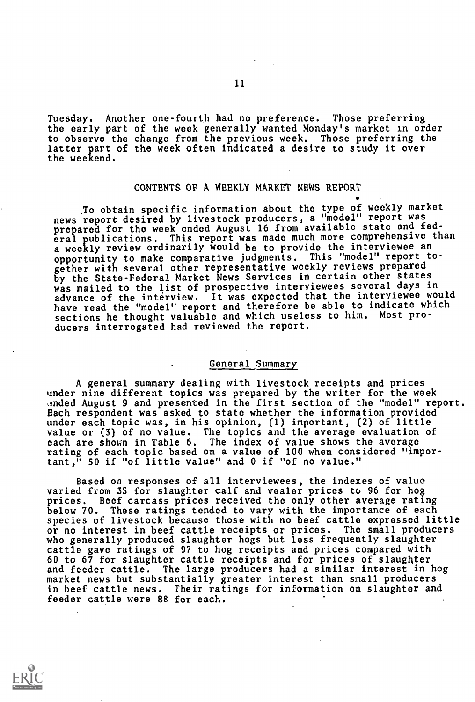Tuesday. Another one-fourth had no preference. Those preferring the early part of the week generally wanted Monday's market in order to observe the change from the previous week. Those preferring the latter part of the week often indicated a desire to study it over the weekend.

#### CONTENTS OF A WEEKLY MARKET NEWS REPORT

To obtain specific information about the type of weekly market news report desired by livestock producers, a "model" report was prepared for the week ended August 16 from available state and federal publications. This report was made much more comprehensive than a weekly review ordinarily would be to provide the interviewee an opportunity to make comparative judgments. This "model" report together with several other representative weekly reviews prepared by the State-Federal Market News Services in certain other states was mailed to the list of prospective interviewees several days in advance of the interview. It was expected that the interviewee would have read the "model" report and therefore be able to indicate which sections he thought valuable and which useless to him. Most producers interrogated had reviewed the report.

# General Summary

A general summary dealing with livestock receipts and prices under nine different topics was prepared by the writer for the week ended August 9 and presented in the first section of the "model" report. Each respondent was asked to state whether the information provided under each topic was, in his opinion, (1) important, (2) of little value or (3) of no value. The topics and the average evaluation of each are shown in Table 6. The index of value shows the average rating of each topic based on a value of 100 when considered "important," 50 if "of little value" and 0 if "of no value."

Based on responses of all interviewees, the indexes of value varied from 35 for slaughter calf and vealer prices to 96 for hog prices. Beef carcass prices received the only other average rating below 70. These ratings tended to vary with the importance of each species of livestock because those with no beef cattle expressed little or no interest in beef cattle receipts or prices. The small producers who generally produced slaughter hogs but less frequently slaughter cattle gave ratings of 97 to hog receipts and prices compared with 60 to 67 for slaughter cattle receipts and for prices of slaughter and feeder cattle. The large producers had a similar interest in hog market news but substantially greater interest than small producers in beef cattle news. Their ratings for information on slaughter and feeder cattle were 88 for each.

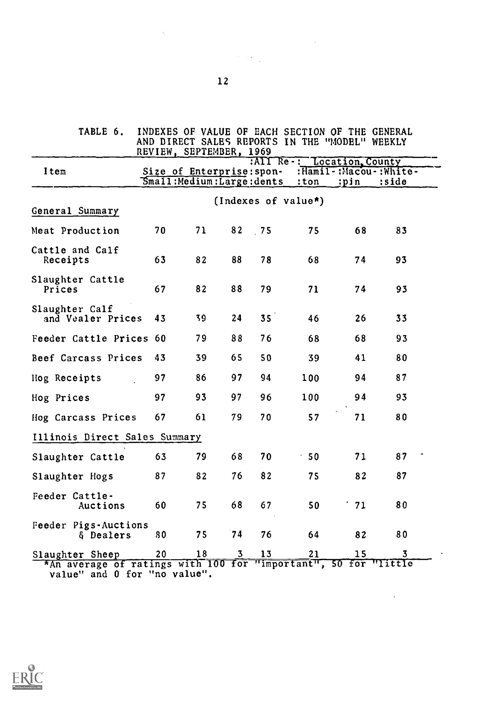| <b>TABLE 6.</b>                     | REVIEW, SEPTEMBER, 1969                                  |       |    |                 | INDEXES OF VALUE OF EACH SECTION OF THE GENERAL<br>AND DIRECT SALES REPORTS IN THE "MODEL" WEEKLY |                               |       |
|-------------------------------------|----------------------------------------------------------|-------|----|-----------------|---------------------------------------------------------------------------------------------------|-------------------------------|-------|
| Item                                | Size of Enterprise: spon-<br>Small: Medium: Large: dents |       |    |                 | :All Re-: Location, County<br>$:$ ton                                                             | :Hamil-:Macou-:White-<br>:pin | :side |
|                                     |                                                          |       |    |                 | (Indexes of value*)                                                                               |                               |       |
| General Summary                     |                                                          |       |    |                 |                                                                                                   |                               |       |
| Meat Production                     | 70                                                       | 71    | 82 | .75             | 75                                                                                                | 68                            | 83    |
| Cattle and Calf<br>Receipts         | 63                                                       | 82    | 88 | 78              | 68                                                                                                | 74                            | 93    |
| Slaughter Cattle<br>Prices          | 67                                                       | 82    | 88 | 79              | 71                                                                                                | 74                            | 93    |
| Slaughter Calf<br>and Vealer Prices | 43                                                       | 39    | 24 | 35 <sup>7</sup> | 46                                                                                                | 26                            | 33    |
| Feeder Cattle Prices 60             |                                                          | 79    | 88 | 76              | 68                                                                                                | 68                            | 93    |
| Beef Carcass Prices                 | 43                                                       | 39    | 65 | 50              | 39                                                                                                | 41                            | 80    |
| Hog Receipts                        | 97                                                       | 86    | 97 | 94              | 100                                                                                               | 94                            | 87    |
| Hog Prices                          | 97                                                       | 93    | 97 | 96              | 100                                                                                               | 94                            | 93    |
| Hog Carcass Prices                  | 67                                                       | 61    | 79 | 70              | 57                                                                                                | 71                            | 80    |
| Illinois Direct Sales Summary       |                                                          |       |    |                 |                                                                                                   |                               |       |
| Slaughter Cattle                    | 63                                                       | 79    | 68 | 70              | 50                                                                                                | 71                            | 87    |
| Slaughter Hogs                      | 87                                                       | 82    | 76 | 82              | 75                                                                                                | 82                            | 87    |
| Feeder Cattle-<br>Auctions          | 60                                                       | 75    | 68 | 67              | 50                                                                                                | 71                            | 80    |
| Feeder Pigs-Auctions<br>& Dealers   | 80                                                       | 75    | 74 | 76              | 64                                                                                                | 82                            | 80    |
| Slaughter Sheep                     | 20                                                       | $-18$ | 3  | 13              | 21                                                                                                | 15                            | 3     |



 $\label{eq:2} \mathcal{L}_{\text{max}} = \mathcal{L}_{\text{max}} + \mathcal{L}_{\text{max}}$ 

 $\label{eq:2.1} \frac{1}{\sqrt{2\pi}}\int_{0}^{\infty}\frac{1}{\sqrt{2\pi}}\left(\frac{1}{\sqrt{2\pi}}\right)^{2\alpha} \frac{1}{\sqrt{2\pi}}\frac{1}{\sqrt{2\pi}}\int_{0}^{\infty}\frac{1}{\sqrt{2\pi}}\frac{1}{\sqrt{2\pi}}\frac{1}{\sqrt{2\pi}}\frac{1}{\sqrt{2\pi}}\frac{1}{\sqrt{2\pi}}\frac{1}{\sqrt{2\pi}}\frac{1}{\sqrt{2\pi}}\frac{1}{\sqrt{2\pi}}\frac{1}{\sqrt{2\pi}}\frac{1}{\sqrt{2\pi}}\frac{$ 

 $\sim 10^{11}$   $\mu$ 

 $\sim \sqrt{2}$ 

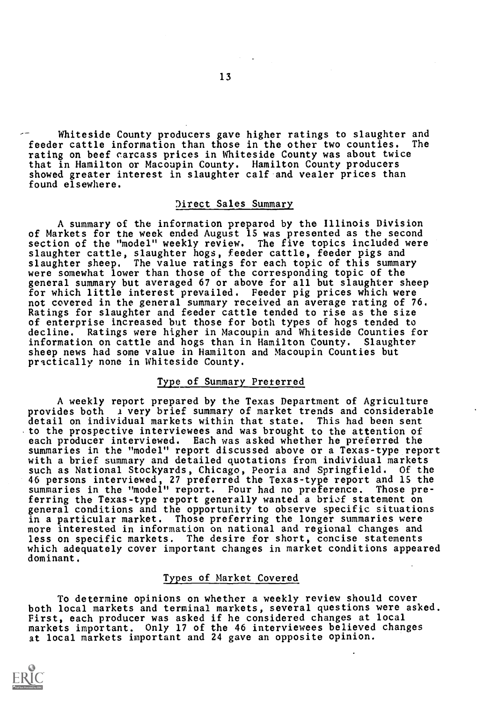Whiteside County producers gave higher ratings to slaughter and feeder cattle information than those in the other two counties. The rating on beef carcass prices in Whiteside County was about twice that in Hamilton or Macoupin County. Hamilton County producers showed greater interest in slaughter calf and vealer prices than found elsewhere.

#### Direct Sales Summary

A summary of the information prepared by the Illinois Division of Markets for the week ended August 15 was presented as the second section of the "model" weekly review. The five topics included were slaughter cattle, slaughter hogs, feeder cattle, feeder pigs and slaughter sheep. The value ratings for each topic of this summary were somewhat lower than those of the corresponding topic of the general summary but averaged 67 or above for all but slaughter sheep for which little interest prevailed. Feeder pig prices which were not covered in the general summary received an average rating of 76. Ratings for slaughter and feeder cattle tended to rise as the size of enterprise increased but those for both types of hogs tended to decline. Ratings were higher in Macoupin and Whiteside Counties for<br>information on cattle and hogs than in Hamilton County. Slaughter information on cattle and hogs than in Hamilton County. sheep news had some value in Hamilton and Macoupin Counties but practically none in Whiteside County.

#### Type of Summary Preferred

A weekly report prepared by the Texas Department of Agriculture provides both *i* very brief summary of market trends and considerable detail on individual markets within that state. This had been sent to the prospective interviewees and was brought to the attention of each producer interviewed. Each was asked whether he preferred the summaries in the "model" report discussed above or a Texas-type report with a brief summary and detailed quotations from individual markets such as National Stockyards, Chicago, Peoria and Springfield. Of the 46 persons interviewed, 27 preferred the Texas-type report and 15 the summaries in the "model" report. Four had no preference. ferring the Texas-type report generally wanted a brief statement on general conditions and the opportunity to observe specific situations in a particular market. Those preferring the longer summaries were more interested in information on national and regional changes and less on specific markets. The desire for short, concise statements which adequately cover important changes in market conditions appeared dominant.

#### Types of Market Covered

To determine opinions on whether a weekly review should cover both local markets and terminal markets, several questions were asked. First, each producer was asked if he considered changes at local markets important. Only 17 of the 46 interviewees believed changes at local markets important and 24 gave an opposite opinion.

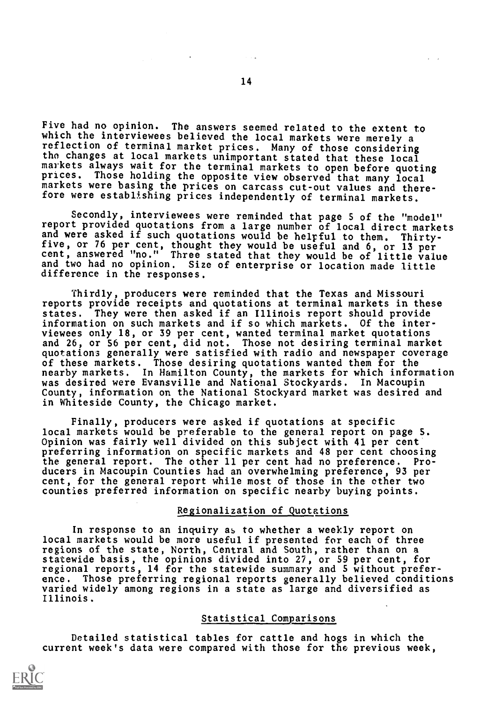Five had no opinion. The answers seemed related to the extent to which the interviewees believed the local markets were merely a reflection of terminal market prices. Many of those considering the changes at local markets unimportant stated that these local markets always wait for the terminal markets to open before quoting<br>prices. Those holding the opposite view observed that many local markets were basing the prices on carcass cut-out values and therefore were establishing prices independently of terminal markets.

Secondly, interviewees were reminded that page 5 of the "model" report provided quotations from a large number of local direct markets and were asked if such quotations would be helpful to them. Thirty-<br>five, or 76 per cent, thought they would be useful and 6, or 13 per<br>cent, answered "no." Three stated that they would be of little value and two had no opinion. Size of enterprise or location made little difference in the responses.

Thirdly, producers were reminded that the Texas and Missouri reports provide receipts and quotations at terminal markets in these states. They were then asked if an Illinois report should provide information on such markets and if so which markets. Of the interviewees only 18, or 39 per cent, wanted terminal market quotations and 26, or 56 per cent, did not. Those not desiring terminal market quotations generally were satisfied with radio and newspaper coverage of these markets. Those desiring quotations wanted them for the nearby markets. In Hamilton County, the markets for which information was desired were Evansville and National Stockyards. In Macoupin County, information on the National Stockyard market was desired and in Whiteside County, the Chicago market.

Finally, producers were asked if quotations at specific local markets would be preferable to the general report on page S. Opinion was fairly well divided on this subject with 41 per cent preferring information on specific markets and 48 per cent choosing the general report. The other 11 per cent had no preference. Producers in Macoupin Counties had an overwhelming preference, 93 per cent, for the general report while most of those in the other two counties preferred information on specific nearby buying points.

#### Regionalization of Quotations

In response to an inquiry as to whether a weekly report on local markets would be more useful if presented for each of three regions of the state, North, Central and South, rather than on a statewide basis, the opinions divided into 27, or 59 per cent, for regional reports, 14 for the statewide summary and 5 without preference. Those preferring regional reports generally believed conditions varied widely among regions in a state as large and diversified as Illinois.

#### Statistical Comparisons

Detailed statistical tables for cattle and hogs in which the current week's data were compared with those for the previous week,

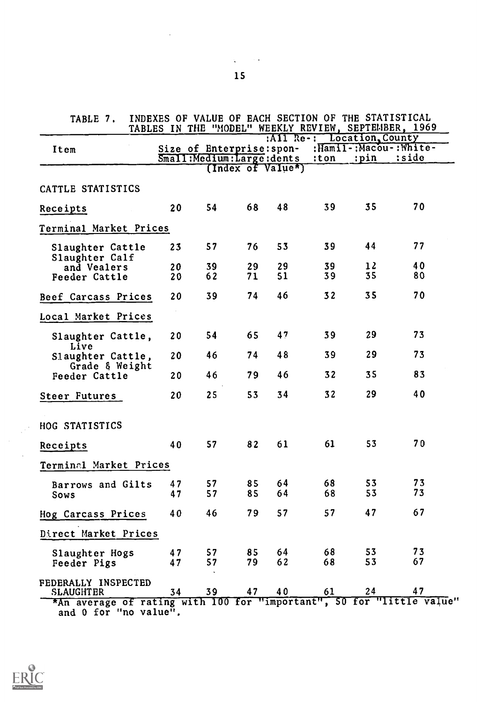| TABLE 7.                                                                                  | INDEXES OF VALUE OF EACH SECTION OF THE STATISTICAL<br>TABLES IN THE "MODEL" WEEKLY REVIEW, SEPTEMBER, 1969 |                           |                   |    |                            |      |                       |
|-------------------------------------------------------------------------------------------|-------------------------------------------------------------------------------------------------------------|---------------------------|-------------------|----|----------------------------|------|-----------------------|
| Item                                                                                      |                                                                                                             | Size of Enterprise: spon- |                   |    | :All Re-: Location, County |      | :Hamil-:Macou-:White- |
|                                                                                           |                                                                                                             | Small:Medium:Large:dents  |                   |    | :ton                       | :pin | :side                 |
|                                                                                           |                                                                                                             |                           | (Index of Value*) |    |                            |      |                       |
| CATTLE STATISTICS                                                                         |                                                                                                             |                           |                   |    |                            |      |                       |
| Receipts                                                                                  | 20                                                                                                          | 54                        | 68                | 48 | 39                         | 35   | 70                    |
| Terminal Market Prices                                                                    |                                                                                                             |                           |                   |    |                            |      |                       |
| Slaughter Cattle<br>Slaughter Calf                                                        | 23                                                                                                          | 57                        | 76                | 53 | 39                         | 44   | 77                    |
| and Vealers                                                                               | 20                                                                                                          | 39                        | 29                | 29 | 39                         | 12   | 40                    |
| Feeder Cattle                                                                             | 20                                                                                                          | 62                        | 71                | 51 | 39                         | 35   | 80                    |
| Beef Carcass Prices                                                                       | 20                                                                                                          | 39                        | 74                | 46 | 32                         | 35   | 70                    |
| Local Market Prices                                                                       |                                                                                                             |                           |                   |    |                            |      |                       |
| Slaughter Cattle,<br>Live                                                                 | 20                                                                                                          | 54                        | 65                | 47 | 39                         | 29   | 73                    |
| Slaughter Cattle,<br>Grade & Weight                                                       | 20                                                                                                          | 46                        | 74                | 48 | 39                         | 29   | 73                    |
| Feeder Cattle                                                                             | 20                                                                                                          | 46                        | 79                | 46 | 32                         | 35   | 83                    |
| <b>Steer Futures</b>                                                                      | 20                                                                                                          | 25                        | 53                | 34 | 32                         | 29   | 40                    |
| HOG STATISTICS                                                                            |                                                                                                             |                           |                   |    |                            |      |                       |
| Receipts                                                                                  | 40                                                                                                          | 57                        | 82                | 61 | 61                         | 53   | 70                    |
| Terminal Market Prices                                                                    |                                                                                                             |                           |                   |    |                            |      |                       |
| Barrows and Gilts                                                                         | 47                                                                                                          | 57                        | 85                | 64 | 68                         | 53   | 73                    |
| Sows                                                                                      | 47                                                                                                          | 57                        | 85                | 64 | 68                         | 53   | 73                    |
| Hog Carcass Prices                                                                        | 40                                                                                                          | 46                        | 79                | 57 | 57                         | 47   | 67                    |
| Direct Market Prices                                                                      |                                                                                                             |                           |                   |    |                            |      |                       |
| Slaughter Hogs                                                                            | 47                                                                                                          | 57                        | 85                | 64 | 68                         | 53   | 73                    |
| Feeder Pigs                                                                               | 47                                                                                                          | 57                        | 79                | 62 | 68                         | 53   | 67                    |
| FEDERALLY INSPECTED                                                                       |                                                                                                             | 39                        | 47                | 40 | 61                         | 24   | 47                    |
| <b>SLAUGHTER</b><br>*An average of rating with 100 for "important", 50 for "little value" | 34                                                                                                          |                           |                   |    |                            |      |                       |
| and 0 for "no value".                                                                     |                                                                                                             |                           |                   |    |                            |      |                       |



 $\sim$  $\frac{1}{\sqrt{2}}$ 

 $\mathcal{L}_{\mathcal{A}}$ 

 $\Delta_{\rm{max}}$  and  $\Delta_{\rm{max}}$ 

 $\mathcal{L}^{\mathcal{L}}(\mathcal{L}^{\mathcal{L}})$  and  $\mathcal{L}^{\mathcal{L}}(\mathcal{L}^{\mathcal{L}})$  and  $\mathcal{L}^{\mathcal{L}}(\mathcal{L}^{\mathcal{L}})$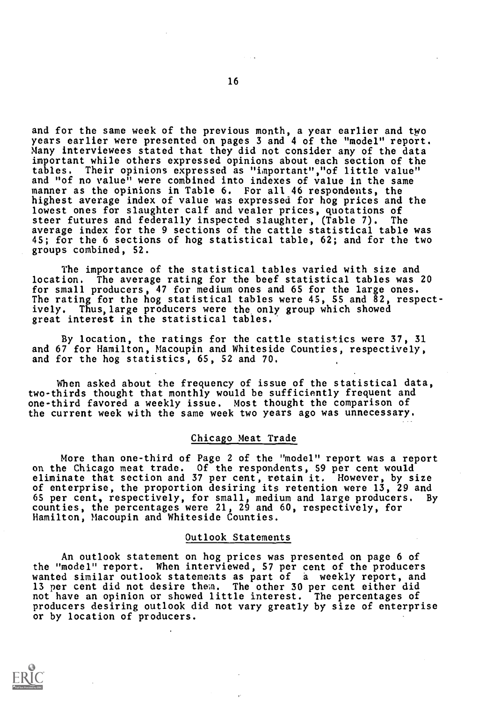and for the same week of the previous month, a year earlier and two years earlier were presented on pages 3 and 4 of the "model" report. Many interviewees stated that they did not consider any of the data important while others expressed opinions about each section of the Their opinions expressed as "important","of little value" and "of no value" were combined into indexes of value in the same manner as the opinions in Table 6. For all 46 respondents, the highest average index of value was expressed for hog prices and the lowest ones for slaughter calf and vealer prices, quotations of steer futures and federally inspected slaughter, (Table 7). The average index for the 9 sections of the cattle statistical table was 45; for the 6 sections of hog statistical table, 62; and for the two groups combined, 52.

The importance of the statistical tables varied with size and location. The average rating for the beef statistical tables was 20 for small producers, 47 for medium ones and 65 for the large ones. The rating for the hog statistical tables were 45, SS and 82, respectively. Thus, large producers were the only group which showed great interest in the statistical tables.'

By location, the ratings for the cattle statistics were 37, 31 and 67 for Hamilton, Macoupin and Whiteside Counties, respectively, and for the hog statistics, 65, 52 and 70.

When asked about the frequency of issue of the statistical data, two-thirds thought that monthly would be sufficiently frequent and one-third favored a weekly issue. Most thought the comparison of the current week with the same week two years ago was unnecessary.

#### Chicago Meat Trade

More than one-third of Page 2 of the "model" report was a report on the Chicago meat trade. Of the respondents, 59 per cent would eliminate that section and 37 per cent, retain it. However, by size of enterprise, the proportion desiring its retention were 13, 29 and 65 per cent, respectively, for small, medium and large producers. By counties, the percentages were 21, 29 and 60, respectively, for Hamilton, Macoupin and Whiteside Counties.

#### Outlook Statements

An outlook statement on hog prices was presented on page 6 of the "model" report. When interviewed, 57 per cent of the producers wanted similar outlook statements as part of a weekly report, and 13 per cent did not desire them. The other 30 per cent either did not have an opinion or showed little interest. The percentages of producers desiring outlook did not vary greatly by size of enterprise or by location of producers.

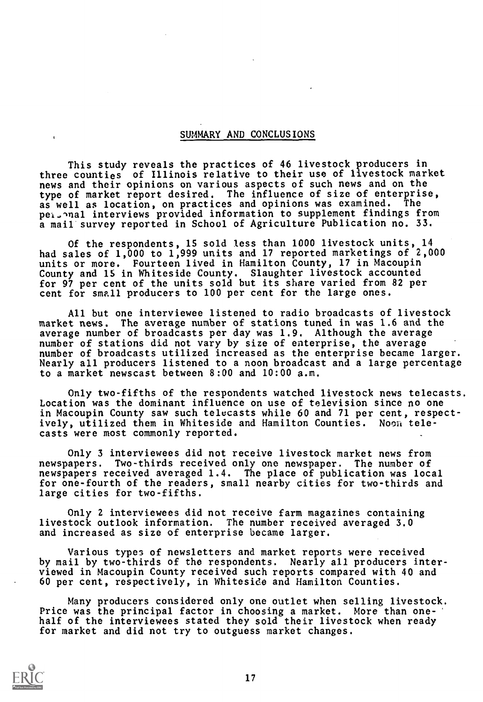# SUMMARY AND CONCLUSIONS

This study reveals the practices of 46 livestock producers in three counties of Illinois relative to their use of livestock market news and their opinions on various aspects of such news and on the type of market report desired. The influence of size of enterprise,<br>as well as location, on practices and opinions was examined. The as well as location, on practices and opinions was examined. pel.Inal interviews provided information to supplement findings from a mail survey reported in School of Agriculture Publication no. 33.

Of the respondents, 15 sold less than 1000 livestock units, 14 had sales of 1,000 to 1,999 units and 17 reported marketings of 2,000 units or more. Fourteen lived in Hamilton County, 17 in Macoupin County and 15 in Whiteside County. Slaughter livestock accounted for 97 per cent of the units sold but its share varied from 82 per cent for small producers to 100 per cent for the large ones.

All but one interviewee listened to radio broadcasts of livestock market news. The average number of stations tuned in was 1.6 and the average number of broadcasts per day was 1.9. Although the average number of stations did not vary by size of enterprise, the average number of broadcasts utilized increased as the enterprise became larger. Nearly all producers listened to a noon broadcast and a large percentage to a market newscast between 8:00 and 10:00 a.m.

Only two-fifths of the respondents watched livestock news telecasts. Location was the dominant influence on use of television since no one in Macoupin County saw such telecasts while 60 and 71 per cent, respectively, utilized them in Whiteside and Hamilton Counties. Nooa telecasts were most commonly reported.

Only 3 interviewees did not receive livestock market news from newspapers. Two-thirds received only one newspaper. The number of newspapers received averaged 1.4. The place of publication was local for one-fourth of the readers, small nearby cities for two-thirds and large cities for two-fifths.

Only 2 interviewees did not receive farm magazines containing livestock outlook information. The number received averaged 3.0 and increased as size of enterprise became larger.

Various types of newsletters and market reports were received by mail by two-thirds of the respondents. Nearly all producers interviewed in Macoupin County received such reports compared with 40 and 60 per cent, respectively, in Whiteside and Hamilton Counties.

Many producers considered only one outlet when selling livestock. Price was the principal factor in choosing a market. More than onehalf of the interviewees stated they sold their livestock when ready for market and did not try to outguess market changes.

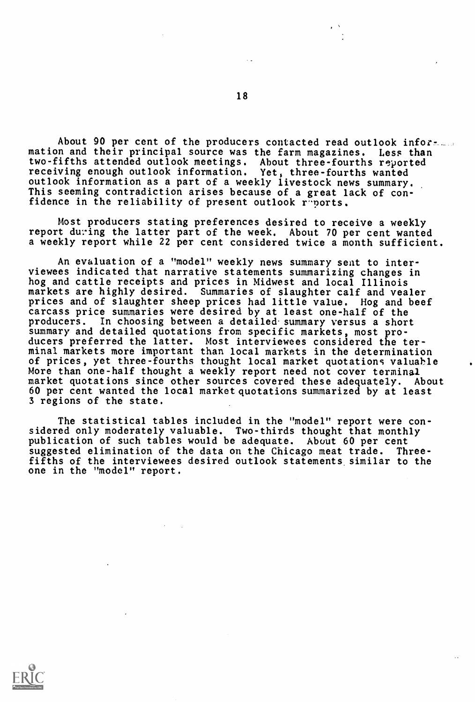About 90 per cent of the producers contacted read outlook information and their principal source was the farm magazines. Less than two-fifths attended outlook meetings. About three-fourths reported receiving enough outlook information. Yet, three-fourths wanted outlook information as a part of a weekly livestock news summary. This seeming contradiction arises because of a great lack of confidence in the reliability of present outlook reports.

Most producers stating preferences desired to receive a weekly report during the latter part of the week. About 70 per cent wanted a weekly report while 22 per cent considered twice a month sufficient.

An evaluation of a "model" weekly news summary seat to interviewees indicated that narrative statements summarizing changes in hog and cattle receipts and prices in Midwest and local Illinois markets are highly desired. Summaries of slaughter calf and vealer prices and of slaughter sheep prices had little value. Hog and beef carcass price summaries were desired by at least one-half of the producers. In choosing between a detailed. summary versus a short summary and detailed quotations from specific markets, most producers preferred the latter. Most interviewees considered the terminal markets more important than local markets in the determination of prices, yet three-fourths thought local market quotations valuable More than one-half thought a weekly report need not cover terminal market quotations since other sources covered these adequately. About 60 per cent wanted the local market quotations summarized by at least 3 regions of the state.

The statistical tables included in the "model" report were considered only moderately valuable. Two-thirds thought that monthly publication of such tables would be adequate. About 60 per cent suggested elimination of the data on the Chicago meat trade. Threefifths of the interviewees desired outlook statements similar to the one in the "model" report.

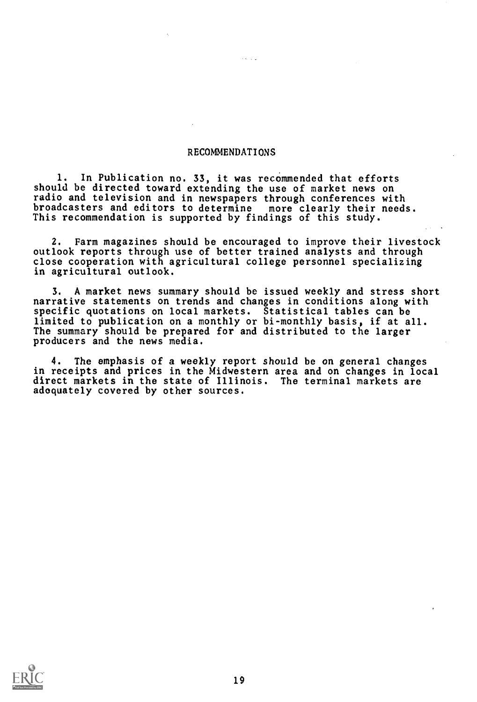# RECOMMENDATIONS

1. In Publication no. 33, it was recommended that efforts should be directed toward extending the use of market news on radio and television and in newspapers through conferences with broadcasters and editors to determine more clearly their needs. This recommendation is supported by findings of this study.

2. Farm magazines should be encouraged to improve their livestock outlook reports through use of better trained analysts and through close cooperation with agricultural college personnel specializing in agricultural outlook.

3. A market news summary should be issued weekly and stress short narrative statements on trends and changes in conditions along with specific quotations on local markets. Statistical tables can be limited to publication on a monthly or bi-monthly basis, if at all. The summary should be prepared for and distributed to the larger producers and the news media.

4. The emphasis of a weekly report should be on general changes in receipts and prices in the Midwestern area and on changes in local direct markets in the state of Illinois. The terminal markets are adequately covered by other sources.

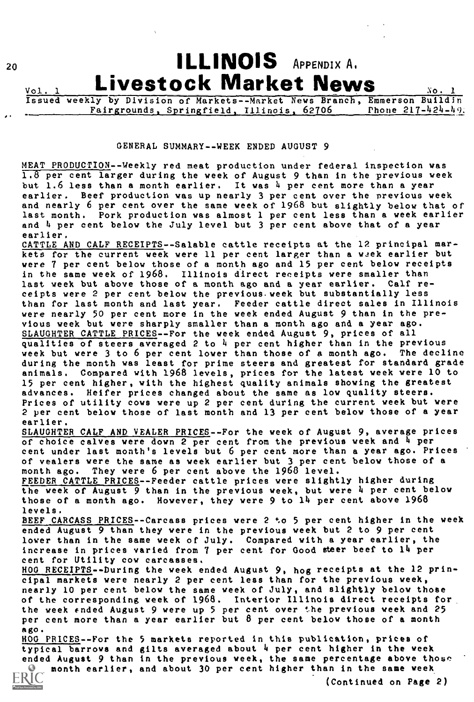

#### GENERAL SUMMARY--WEEK ENDED AUGUST 9

MEAT PRODUCTION--Weekly red meat production under federal inspection was  $1.8$  per cent larger during the week of August 9 than in the previous week but 1.6 less than a month earlier. It was 4 per cent more than a year earlier. Beef production was up nearly 3 per cent over the previous week and nearly 6 per cent over the same week of 1968 but slightly below that of last month. Pork production was almost 1 per cent less than a week earlier and 4 per cent below the July level but 3 per cent above that of a year earlier.

CATTLE AND CALF RECEIPTS--Salable cattle receipts at the 12 principal markets for the current week were 11 per cent larger than a week earlier but were 7 per cent below those of a month ago and 15 per cent below receipts in the same week of 1968. Illinois direct receipts were smaller than last week but above those of a month ago and a year earlier. Calf receipts were 2 per cent below the previous week but substantially less than for last month and last year. Feeder cattle direct sales in Illinois were nearly 50 per cent more in the week ended August 9 than in the previous week but were sharply smaller than a month ago and a year ago. SLAUGHTER CATTLE PRICES--For the week ended August 9, prices of all qualities of steers averaged 2 to  $\frac{1}{4}$  per cent higher than in the previous veek but vere 3 to 6 per cent lover than those of a month ago. The decline week but were  $3$  to  $6$  per cent lower than those of a month ago. during the month was least for prime steers and greatest for standard grade animals. Compared with 1968 levels, prices for the latest week were 10 to 15 per cent higher, with the highest quality animals showing the greatest advances. Heifer prices changed about the same as low quality steers. Prices of utility cows were up 2 per cent during the current week but were 2 per cent below those of last month and 13 per cent below those of a year earlier.

SLAUGHTER CALF AND VEALER PRICES--For the week of August 9, average prices of choice calves were down 2 per cent from the previous week and 4 per cent under last month's levels but 6 per cent more than a year ago. Prices of vealers were the same as week earlier but 3 per cent below those of a month ago. They were 6 per cent above the 1968 level.

FEEDER CATTLE PRICES--Feeder cattle prices were slightly higher during the week of August 9 than in the previous week, but were 4 per cent below those of a month ago. However, they were 9 to 14 per cent above 1968 levels.

BEEF CARCASS PRICES--Carcass prices were 2 to 5 per cent higher in the week ended August 9 than they were in the previous week but 2 to 9 per cent lower than in the same week of July. Compared with a year earlier, the increase in prices varied from 7 per cent for Good steer beef to 14 per cent for Utility cow carcasses.

HOG RECEIPTS--During the week ended August 9, hog receipts at the 12 principal markets were nearly 2 per cent less than for the previous week, nearly 10 per cent below the same week of July, and slightly below those of the corresponding week of 1968. Interior Illinois direct receipts for, the week ended August 9 were up 5 per cent over the previous week and 25 per cent more than a year earlier but 8 per cent below those of a month ago.

HOG PRICES - -For the 5 markets reported in this publication, prices of typical barrows and gilts averaged about 4 per cent higher in the week ended August 9 than in the previous week, the same percentage above those **6** month earlier, and about 30 per cent higher than in the same week<br>RIC **600** *(Continued on Page*)

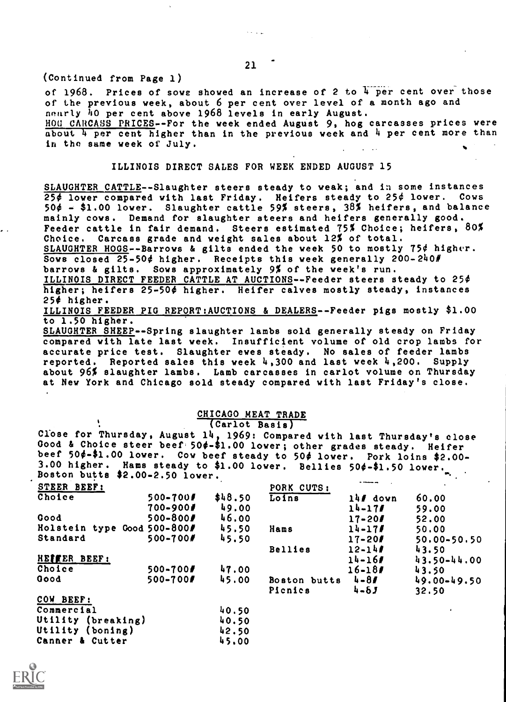21

(Continued from Page 1)

of 1968. Prices of sowe showed an increase of 2 to  $\frac{1}{4}$  per cent over those of the previous week, about 6 per cent over level of a month ago and nearly 40 per cent above 1968 levels in early August. HOG CARCASS PRICES--For the week ended August 9, hog carcasses prices were

about 4 per cent higher than in the previous week and 4 per cent more than in the same week of July.

#### ILLINOIS DIRECT SALES FOR WEEK ENDED AUGUST 15

SLAUGHTER CATTLE--Slaughter steers steady to weak; and in some instances  $25¢$  lower compared with last Friday. Heifers steady to  $25¢$  lower. Cows 50¢ - \$1.00 lower. Slaughter cattle 59% steers, 38% heifers, and balance mainly cows. Demand for slaughter steers and heifers generally good. Feeder cattle in fair demand. Steers estimated 75% Choice; heifers, 80% Choice. Carcass grade and weight sales about 12% of total.

SLAUGHTER HOGS--Barrows & gilts ended the week 50 to mostly 75¢ higher. Sows closed  $25-50$ ¢ higher. Receipts this week generally  $200-240$ *#* 

barrows & gilts. Sows approximately 9% of the week's run. ILLINOIS DIRECT FEEDER CATTLE AT AUCTIONS--Feeder steers steady to 25¢

higher; heifers 25-50¢ higher. Heifer calves mostly steady, instances  $254$  higher.

ILLINOIS FEEDER PIG REPORT:AUCTIONS & DEALERS--Feeder pigs mostly \$1.00 to 1.50 higher.

SLAUGHTER SHEEP--Spring slaughter lambs sold generally steady on Friday compared with late last week. Insufficient volume of old crop lambs for accurate price test. Slaughter ewes steady. No sales of feeder lambs reported. Reported sales this week 4,300 and last week 4,200. Supply about 96% slaughter lambs. Lamb carcasses in carlot volume on Thursday at New York and Chicago sold steady compared with last Friday's close.

# CHICAGO MEAT TRADE

(Carlot Basis)

Close for Thursday, August 14, 1969: Compared with last Thursday's close Good & Choice steer beef 50 $\phi$ -\$1.00 lower; other grades steady. Heifer beef 50 $\neq$ -\$1.00 lower. Cow beef steady to 50 $\phi$  lower. Pork loins \$2.00-3.00 higher. Hams steady to \$1.00 lower. Bellies 50¢-\$1.50 lower. Boston butts \$2.00-2.50 lower.

| STEER BEEF:                 |              |         | PORK CUTS:     |           |                 |
|-----------------------------|--------------|---------|----------------|-----------|-----------------|
| Choice                      | 500-700#     | \$48.50 | Loins          | 14/ down  | 60.00           |
|                             | $700 - 900f$ | 49.00   |                | 14-17/    | 59.00           |
| Good                        | $500 - 800$  | 46.00   |                | $17 - 20$ | 52.00           |
| Holstein type Good 500-800# |              | 45.50   | Hams           | 14-17/    | 50.00           |
| Standard                    | 500-700#     | 45.50   |                | $17 - 20$ | $50.00 - 50.50$ |
|                             |              |         | <b>Bellies</b> | $12 - 14$ | 43.50           |
| HETTER BEEF!                |              |         |                | 14-167    | $43.50 - 44.00$ |
| Choice                      | $500 - 700$  | 47.00   |                | $16 - 18$ | 43.50           |
| <b>Good</b>                 | 500-700      | 45.00   | Boston butts   | $4 - 87$  | $49.00 - 49.50$ |
|                             |              |         | Picnics        | $4 - 8J$  | 32.50           |
| COW BEEF:                   |              |         |                |           |                 |
| Commercial                  |              | 40.50   |                |           |                 |
| Utility (breaking)          |              | 40.50   |                |           |                 |
| Utility (boning)            |              | 42.50   |                |           |                 |
| Canner & Cutter             |              | 45.00   |                |           |                 |
|                             |              |         |                |           |                 |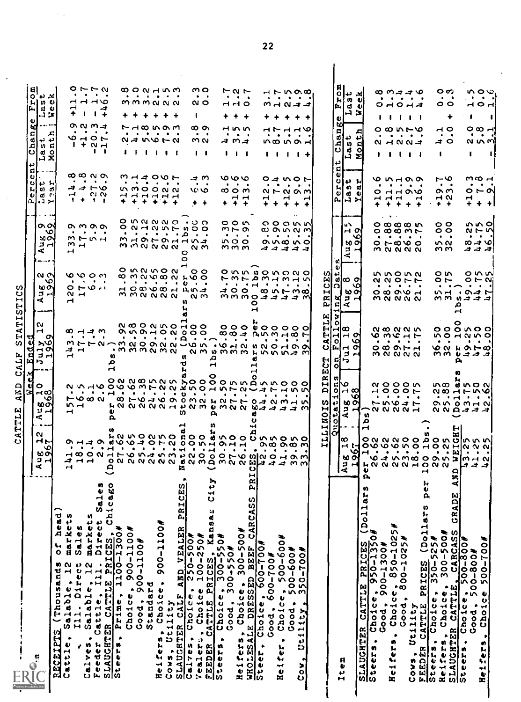| ۱O<br><b>FOR POINT OF REPORT OF A REPORT OF A STATE OF A REPORT OF A STATE OF A REPORT OF A STATE OF A REPORT OF A STATE</b><br>မာ တ<br>18021765453と200076520192<br>그 네<br><i>ㅋ</i> ㅋㅋ<br>⋖.<br>н<br>head)<br>markets<br>markets<br>Sales<br>با<br>0<br>Salable, 12<br>Ill. Direct<br>(Thousands)<br>Salable, 12<br>Cattle, Ill.<br><b>RECEIPTS</b><br>Cattle,<br>Calves,<br>ł<br>$\int_{1}^{6}$ | ์<br>ปู<br>o<br>lэ<br>$\prec$<br>$\mathbf{v}$                                                                                                                                    | 'तू<br>End.                                                                                                     |                                                                                 |                                                              |                                                                                                                      |                                                                                                                                                 |                                                                                            |
|--------------------------------------------------------------------------------------------------------------------------------------------------------------------------------------------------------------------------------------------------------------------------------------------------------------------------------------------------------------------------------------------------|----------------------------------------------------------------------------------------------------------------------------------------------------------------------------------|-----------------------------------------------------------------------------------------------------------------|---------------------------------------------------------------------------------|--------------------------------------------------------------|----------------------------------------------------------------------------------------------------------------------|-------------------------------------------------------------------------------------------------------------------------------------------------|--------------------------------------------------------------------------------------------|
|                                                                                                                                                                                                                                                                                                                                                                                                  |                                                                                                                                                                                  |                                                                                                                 |                                                                                 |                                                              | <b>C</b><br>O.<br>니<br>O)                                                                                            | ە<br>ьd<br>다<br>d۱<br>부.<br>ပ<br>(دو.                                                                                                           | 티<br>l Ci<br>ļΓ.                                                                           |
|                                                                                                                                                                                                                                                                                                                                                                                                  | ⊣∞<br><b>vo</b><br>မတ<br>보체<br>, <b>a</b> sist<br>ᆏ니                                                                                                                             | N<br>Н<br><b>O</b><br>$\sim$<br>$\sim$ $\sim$<br>결 권<br>h                                                       | -…<br>$\alpha$ $\alpha$<br>۰ο<br>ఱ౧<br>ו⊶ ⊏<br>4                                | o ol<br>۱o<br>ఱ౧<br>コー<br>።                                  | 이판 된<br>ທ່<br>nd €<br>بردران                                                                                         | نډ نډ<br>ທິ<br>ದ<br>ᆸᅙ                                                                                                                          | یر دو<br>ဟ ပ<br>ల<br>コヌ                                                                    |
|                                                                                                                                                                                                                                                                                                                                                                                                  |                                                                                                                                                                                  |                                                                                                                 |                                                                                 |                                                              |                                                                                                                      | ᅎ<br>$\overline{\mathbf{Q}}$                                                                                                                    | υ                                                                                          |
|                                                                                                                                                                                                                                                                                                                                                                                                  | Н                                                                                                                                                                                | н                                                                                                               | $\sim$<br>H                                                                     | Н                                                            | $\mathbf -$                                                                                                          |                                                                                                                                                 |                                                                                            |
|                                                                                                                                                                                                                                                                                                                                                                                                  | <b>1000-1</b><br>∽⊣                                                                                                                                                              | $\infty$ $\mapsto$ $\infty$<br>ᅿᆏ                                                                               | 8000<br>$\bullet$<br>O H Q H<br>$\mathbf{\mathbf{H}}$                           | $\alpha$ m $\alpha$ $\alpha$<br>つていし<br>ຕ⊣                   | <b>∞∞ လ ၈</b><br>ココトロ<br>$\ddot{\phantom{1}}$<br>л.                                                                  | のののコ<br>$\begin{array}{cccccccccccccc} \bullet & \bullet & \bullet & \bullet & \bullet & \bullet & \bullet \end{array}$<br>としての<br>$1 + N$ $-1$ | ロートの<br>$\bullet \qquad \bullet \qquad \bullet \qquad \bullet$<br><b>ㅋㅋㅋ</b><br>H<br>$+$ 1 |
|                                                                                                                                                                                                                                                                                                                                                                                                  |                                                                                                                                                                                  | $\bullet$ . $\bullet$                                                                                           | .                                                                               |                                                              | $\bullet$                                                                                                            |                                                                                                                                                 |                                                                                            |
| Direct Sales<br>Feder                                                                                                                                                                                                                                                                                                                                                                            |                                                                                                                                                                                  |                                                                                                                 |                                                                                 |                                                              | $\mathbf{R}=\mathbf{R}$<br>$\alpha$<br>$\mathbf{f}$                                                                  | $\mathbf{1}$                                                                                                                                    | $\sqrt{1}$                                                                                 |
| Q<br>Chicago                                                                                                                                                                                                                                                                                                                                                                                     |                                                                                                                                                                                  | $\mathbf{\vec{r}}$                                                                                              |                                                                                 |                                                              |                                                                                                                      |                                                                                                                                                 | ᅿ                                                                                          |
| SLAUGHTER CATTLE PRICES,                                                                                                                                                                                                                                                                                                                                                                         | ρ,                                                                                                                                                                               | , m m m n m n<br>n<br>م                                                                                         |                                                                                 |                                                              |                                                                                                                      |                                                                                                                                                 |                                                                                            |
| <b>AOII-006 * append</b>                                                                                                                                                                                                                                                                                                                                                                         |                                                                                                                                                                                  |                                                                                                                 |                                                                                 |                                                              | H.                                                                                                                   | ٠                                                                                                                                               |                                                                                            |
| Good,                                                                                                                                                                                                                                                                                                                                                                                            |                                                                                                                                                                                  |                                                                                                                 |                                                                                 | $\cdots$                                                     | $+$                                                                                                                  | $\cdots$                                                                                                                                        | ٠                                                                                          |
| #00TT-006                                                                                                                                                                                                                                                                                                                                                                                        |                                                                                                                                                                                  |                                                                                                                 |                                                                                 |                                                              |                                                                                                                      |                                                                                                                                                 | $\ddotmark$                                                                                |
| Standard                                                                                                                                                                                                                                                                                                                                                                                         |                                                                                                                                                                                  |                                                                                                                 |                                                                                 |                                                              |                                                                                                                      |                                                                                                                                                 | $\ddotmark$                                                                                |
| <b>ACOTT-006</b><br>Choice,<br>eifers,                                                                                                                                                                                                                                                                                                                                                           |                                                                                                                                                                                  |                                                                                                                 | Onnnon<br>mmaana                                                                | mmaaaa                                                       | うしょ つんて<br>.<br><b>nnoonn</b><br><b>AMARA</b><br>+ + + +                                                             | r 10000<br>つしょう                                                                                                                                 | <b>800758</b><br>.<br>mmmaan                                                               |
| Utility<br>1045,<br>U                                                                                                                                                                                                                                                                                                                                                                            |                                                                                                                                                                                  |                                                                                                                 |                                                                                 |                                                              |                                                                                                                      | $\bullet$ $\bullet$                                                                                                                             | $+$ $+$                                                                                    |
| е<br>PRICES<br>AND VEALER<br>SLAUCHTER CALF /                                                                                                                                                                                                                                                                                                                                                    |                                                                                                                                                                                  |                                                                                                                 | n                                                                               | $\circ$<br>o                                                 |                                                                                                                      |                                                                                                                                                 |                                                                                            |
| $250 - 500$                                                                                                                                                                                                                                                                                                                                                                                      |                                                                                                                                                                                  |                                                                                                                 |                                                                                 |                                                              |                                                                                                                      |                                                                                                                                                 |                                                                                            |
| 100-250#<br>Choice<br>Vealers                                                                                                                                                                                                                                                                                                                                                                    |                                                                                                                                                                                  | <b>QQQWDOHOO</b><br><b>OUD-OUDO</b>                                                                             | $\circ \circ$<br><b>commundo</b> who<br>. <b>.</b><br>H 0 0 0 00 H R 0 4<br>໙ ო | o wwwwo •oo<br>MHOPOHHWA<br>໙ ო                              | ⇒ ∾<br>$\bullet$ . $\bullet$<br>va vo<br>$+$ $+$                                                                     | ∞ თ<br>$\bullet$ .<br><br>4<br>m N<br>''                                                                                                        | m O<br>$\cdots$<br>N O<br>J.                                                               |
| City<br>Kansar<br>FEEDER                                                                                                                                                                                                                                                                                                                                                                         | ρ.<br>n                                                                                                                                                                          |                                                                                                                 |                                                                                 |                                                              |                                                                                                                      |                                                                                                                                                 |                                                                                            |
| Carre PRICES, Kar<br>Carre PRICES, Kar<br>Choice, 300-550#<br>Enoice, <sup>Juur</sup><br>Choice, Juur<br>Choi, 300–550#<br>Steers,                                                                                                                                                                                                                                                               |                                                                                                                                                                                  | 1.3.1.1.1.01.10.1.01.1.1                                                                                        |                                                                                 |                                                              | ۰                                                                                                                    |                                                                                                                                                 |                                                                                            |
|                                                                                                                                                                                                                                                                                                                                                                                                  | $\bullet\qquad \bullet\qquad \bullet$                                                                                                                                            |                                                                                                                 | $\bullet$                                                                       | 00 n<br>mro<br>$\cdots$<br>n o o<br>ოოო                      | ৩৩৩<br>$\bullet$<br>ထ ဝ က<br>۰                                                                                       | <b>253</b><br>$\bullet$<br>コハコ                                                                                                                  | しのし<br>$\bullet \qquad \bullet \qquad \bullet$<br>H H O<br>٠                               |
| 300-500#                                                                                                                                                                                                                                                                                                                                                                                         |                                                                                                                                                                                  |                                                                                                                 |                                                                                 |                                                              | . .<br>ᆟᆏ                                                                                                            | $\bullet$<br>$\mathbf{1}$                                                                                                                       | $+ +$                                                                                      |
| $\begin{array}{ccccccccccccccccc} \bullet & \bullet & \bullet & \bullet & \bullet \end{array}$<br>PRI<br>CARCASS<br>Steer, Choice, 600-700#<br>Steers, Choice, 300-50<br>Steer, Choice, 300-50<br>Steer, Choice, 600-700#                                                                                                                                                                        | <b>DHAD RUGGHOLN DONHOHH</b>                                                                                                                                                     | −                                                                                                               | 200 L<br>Ω                                                                      |                                                              | - 1<br>۰                                                                                                             | $\cdot$                                                                                                                                         |                                                                                            |
|                                                                                                                                                                                                                                                                                                                                                                                                  |                                                                                                                                                                                  |                                                                                                                 |                                                                                 |                                                              |                                                                                                                      |                                                                                                                                                 |                                                                                            |
|                                                                                                                                                                                                                                                                                                                                                                                                  |                                                                                                                                                                                  |                                                                                                                 |                                                                                 |                                                              | ᅿ<br>۰                                                                                                               | $\bullet$                                                                                                                                       | $\mathbf{r}$                                                                               |
| 700-600#<br>$\bullet$<br>Heifer                                                                                                                                                                                                                                                                                                                                                                  |                                                                                                                                                                                  |                                                                                                                 |                                                                                 |                                                              | $\bullet$<br>۰                                                                                                       | $\bullet$<br>$\mathbf{I}$                                                                                                                       |                                                                                            |
| .                                                                                                                                                                                                                                                                                                                                                                                                |                                                                                                                                                                                  | $\begin{array}{cccccccccccccc} \bullet & \bullet & \bullet & \bullet & \bullet & \bullet & \bullet \end{array}$ |                                                                                 |                                                              | $\bullet$<br>H<br>$\ddotmark$                                                                                        | $\bullet$                                                                                                                                       |                                                                                            |
| ON NNNNN BNMA MNN DD NN N<br>Good, 600-700#<br>Choice, 500-600<br>Good, 500-600#<br>Chity, 350-700#<br>Utility,<br>COW,                                                                                                                                                                                                                                                                          | on no nn n hoooonnannooo<br>Q D H S O Q Q W H Q Q X D D H D Q Q D H H D D<br><b>HN N N N N H H N M Ù M N N W A H H H M</b><br><b>AN WONNO ADO AMOOUMMONO</b><br>_രെ <b>ക</b> െ പ | 000000000<br>$0007$ $\alpha$ $0.00$ $\alpha$ $\beta$<br>MFFNAMNOONNVON . WHN BNOHOO<br><b>NMBMMMHINNWHM</b>     | OWWWOWONO<br>てるてもる1315<br>$\infty$ n $\sim$ m $\infty$<br>mmmodddd m            | 000UN<br>ฺ๗ ๛๛๗<br>のいめいの<br>------                           | ロコいの<br>$\bullet$ $\bullet$<br>$9 - 9 - 9$<br>$\ddotmark$                                                            | ユアユユる<br>$\blacksquare$<br>non o H                                                                                                              | のひのみ                                                                                       |
|                                                                                                                                                                                                                                                                                                                                                                                                  |                                                                                                                                                                                  |                                                                                                                 |                                                                                 |                                                              | ⊣<br>۰                                                                                                               |                                                                                                                                                 |                                                                                            |
|                                                                                                                                                                                                                                                                                                                                                                                                  | $\mathbf{r}$<br>$\mathbf{p}$<br>n<br>LLINOI<br>Ħ                                                                                                                                 | щ<br><b>TTL</b><br>⋖<br>ಲ.<br>ECT                                                                               | ω.<br>闻<br>ပ<br>н<br>$\frac{R}{2}$                                              |                                                              |                                                                                                                      |                                                                                                                                                 |                                                                                            |
|                                                                                                                                                                                                                                                                                                                                                                                                  | -ന]<br>41<br>ادد<br>잆<br>$\frac{1}{2}$                                                                                                                                           | Þ<br>$\hat{\mathbf{o}}$<br>$\blacktriangleright$<br>$\circ$<br>$\bullet$                                        | ïИ.<br>ΦI<br>ี่ค<br>d<br>٣ł                                                     |                                                              | $\mathbf{a}$<br>$rac{1}{e}$                                                                                          | Cha<br>↔                                                                                                                                        | lH,<br>İΑ.                                                                                 |
| m HOOOOONO HONHINN N<br>60 O<br>ᅟᆟ<br>4<br>Item                                                                                                                                                                                                                                                                                                                                                  | a∖o<br>∣ ଠା ⊶ ∞ା<br><b>NO O</b><br>ה ב<br>⋖<br>ထ                                                                                                                                 | ∣പ∣യ<br>$\blacksquare$<br>нн о<br>ہ د<br>대노                                                                     | ∣ଖ∞ ञ<br>ယေတ<br>비비니<br>$\mathbf{r}$                                             | u٦<br>$\overline{H}$ or<br>$\mathbf{a}$ $\mathbf{b}$<br>≺    | υI<br>e.<br>d.<br>여년 게                                                                                               | ω<br>$\mathbf{a}$<br>ى<br>w,<br>ᅽ                                                                                                               | ⊔ە<br>m<br>ದ<br>انه                                                                        |
| ым                                                                                                                                                                                                                                                                                                                                                                                               | ۱o                                                                                                                                                                               | o                                                                                                               | v                                                                               | Δ٥<br>60 O                                                   | ון נו<br>$\sigma$<br>∙                                                                                               | ᇧ<br>اب<br>$M_{\rm QD}$                                                                                                                         | ᅿ<br>ω.<br>ω<br>പ ≊!                                                                       |
| <b>LONNOHONN</b><br>Đ<br>p,<br>Choice, 950-1350#<br>Cood, 900-1350#<br>Choice, 00-1300#<br>SLAUGHTER<br>Steers, Ch                                                                                                                                                                                                                                                                               | n<br>₽<br>⊣                                                                                                                                                                      |                                                                                                                 |                                                                                 |                                                              |                                                                                                                      |                                                                                                                                                 |                                                                                            |
|                                                                                                                                                                                                                                                                                                                                                                                                  | <b>NO00W</b><br>40006<br>$\bullet$<br>しょうちん<br>៶៷៷៷៷៷                                                                                                                            | a ∞ a a w<br>ロミアコ<br>$0\otimes$ $0\vdash$ $\vdash$                                                              | <b>いうつうり</b><br>くくついて<br>$0$ $\omega$ $\omega$ $\omega$<br><b>m N N N N</b>     | 000000<br>$\circ$ $\sim$ $\circ$ $\circ$<br><b>m N N N N</b> | <b>しぃりのの</b><br>o<br>H<br>٠                                                                                          | $\bullet$<br>ι.                                                                                                                                 |                                                                                            |
| Choice<br>Heifers                                                                                                                                                                                                                                                                                                                                                                                | $\bullet$                                                                                                                                                                        | $\bullet$ $\bullet$                                                                                             | $\cdots$                                                                        | $\cdot$<br>$\cdots$                                          | $\begin{array}{c}\n\hline\n\end{array}$<br>$H$ $H$<br>۰                                                              | 200H 2<br>-                                                                                                                                     | $0-10-1$<br>1 1 1 1 1                                                                      |
| 850-1025#<br><b>15201-008</b><br>$\cos d,$<br>٠                                                                                                                                                                                                                                                                                                                                                  |                                                                                                                                                                                  |                                                                                                                 |                                                                                 |                                                              | $\begin{array}{cccccccccccccc} \bullet & \bullet & \bullet & \bullet & \bullet & \bullet \end{array}$<br>$\ddotmark$ | $\begin{array}{cccccccccccccc} \bullet & \bullet & \bullet & \bullet & \bullet \end{array}$                                                     |                                                                                            |
| Utility<br>Cows,                                                                                                                                                                                                                                                                                                                                                                                 | $\bullet \quad \bullet \quad$                                                                                                                                                    | $\bullet$ $\bullet$                                                                                             | .                                                                               |                                                              | $\ddotmark$                                                                                                          |                                                                                                                                                 |                                                                                            |
|                                                                                                                                                                                                                                                                                                                                                                                                  |                                                                                                                                                                                  | . .                                                                                                             |                                                                                 |                                                              | - 4<br>Н<br>۰                                                                                                        | 000nr0                                                                                                                                          | $\omega$ m $\rightarrow$ $\rightarrow$ $\omega$<br>.                                       |
| H<br>h<br>A<br>FEEDER CATTLE PRICES (Dollars<br>Steers, Choice, 350-525#<br>Steers,                                                                                                                                                                                                                                                                                                              |                                                                                                                                                                                  |                                                                                                                 |                                                                                 |                                                              |                                                                                                                      |                                                                                                                                                 |                                                                                            |
| $\bullet$ . $\bullet$<br>$.300 - 500f$                                                                                                                                                                                                                                                                                                                                                           |                                                                                                                                                                                  | ٠                                                                                                               | $\sim$<br>$\bullet$                                                             | $\circ$<br>00<br>n N<br>ოო                                   | ⊶<br>$-1$ $\alpha$<br>$+$ $+$                                                                                        | $\bullet$                                                                                                                                       | $\bullet$                                                                                  |
| $94$ M <sub>m</sub> $\alpha$ O $\alpha$ M <sub>2</sub> M <sub>m</sub> $\alpha$<br><b>GRADE</b><br>CARCASS<br>Heifers, Choice, 3<br>SLAUGHTER CATTLE,                                                                                                                                                                                                                                             | <b>Inco dinon</b><br>$0.00 - 0.00$<br>$\cdots$<br>OMOMH<br>N N A A A<br>ON N N O O A O IN U IN IN IN                                                                             | 000000<br><b>いついいいつ</b><br>$\bullet$<br>く い い の い の<br>നന <i>⊎ <del>ച</del> ച</i> ⊿                             | $\circ$ w<br>$\overline{\phantom{a}}$<br>いしょうさん<br><u>ຕຕ ທຸລຸລຸລ</u>            | $\bullet$ $\bullet$                                          | $\bullet$ $\bullet$<br>თო                                                                                            | $\overline{a}$<br>$\bullet$<br>≠ 0                                                                                                              | ဝက<br>٠<br>၀ ၀<br>┿                                                                        |
| ыι.<br>O I<br>$\mathbf{A}$<br>1009-005                                                                                                                                                                                                                                                                                                                                                           | ы                                                                                                                                                                                | o<br>മ                                                                                                          | н                                                                               |                                                              |                                                                                                                      |                                                                                                                                                 |                                                                                            |
| $\bullet$<br>ドィオ<br>$rac{1}{\cos 4}$<br>Choice, $\frac{1}{2}$<br>Cood, $\frac{1}{2}$ 500–800#                                                                                                                                                                                                                                                                                                    |                                                                                                                                                                                  | $\begin{array}{ccc} \bullet & \bullet \end{array}$                                                              | $\mathbf{r}$                                                                    | $\bullet\qquad\bullet\qquad$<br>∞≠৩<br>ㅋ ㅋ ㅋ                 | ٠<br>⊶<br>۰                                                                                                          | $\bullet$<br>Ш                                                                                                                                  | now<br>$\bullet$<br>ᆏᅌᆑ                                                                    |
| Choice 500-700#<br>Heifers                                                                                                                                                                                                                                                                                                                                                                       |                                                                                                                                                                                  |                                                                                                                 |                                                                                 |                                                              | $\bullet$<br>$\ddotmark$                                                                                             | ٠                                                                                                                                               | $\bullet$                                                                                  |
|                                                                                                                                                                                                                                                                                                                                                                                                  |                                                                                                                                                                                  |                                                                                                                 |                                                                                 |                                                              |                                                                                                                      |                                                                                                                                                 | п                                                                                          |
| ٠                                                                                                                                                                                                                                                                                                                                                                                                |                                                                                                                                                                                  |                                                                                                                 | っぃぃ<br>$\circ$ $\sim$ $\sim$                                                    | nno<br>$\alpha \vdash \alpha$                                | mm H<br>ㅇㄴ이<br>$\bullet$                                                                                             |                                                                                                                                                 | ㅇ∞⊣<br><b>QU U W</b>                                                                       |

 $\ddot{\phantom{0}}$ 

 $\frac{1}{\sqrt{2}}$ 

22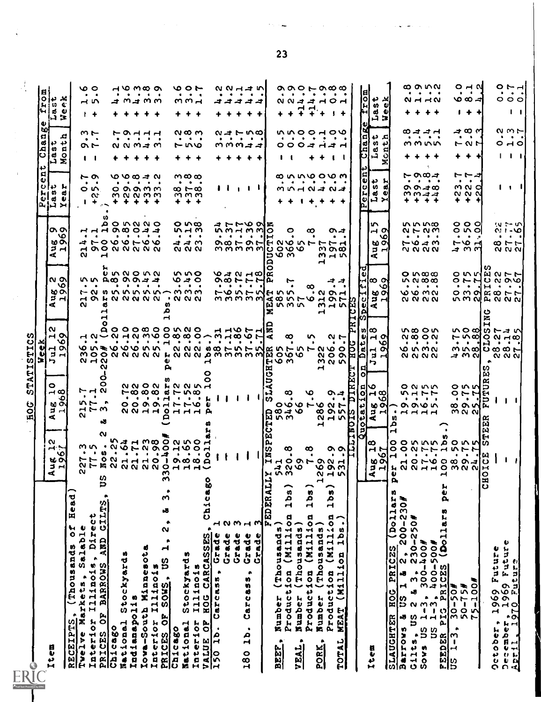| $\sim$<br>$\blacktriangleleft$                                                                 |                                                                                                                                                                                                                                                           | mΙ                                                                                                                                                                                                                                                                                                                                                                        |                                                                                                                                                                                                                                                                                                                                                                                                                                                                               |                                                                                                                                                                                                                                                                                                                                                                                                                                                                                                                                                                                  |                                                                                                                                                                                                                                                                                                                                                                                                                                                                                                                                                                                                                                                                                                                                                                                                                                                                      |                                                                                                                                                                                                                                                                                                                                                                                                                                             |                                                                                                                                                                                                                                                                                                                                                                                                                                                                                                                                                                                         |
|------------------------------------------------------------------------------------------------|-----------------------------------------------------------------------------------------------------------------------------------------------------------------------------------------------------------------------------------------------------------|---------------------------------------------------------------------------------------------------------------------------------------------------------------------------------------------------------------------------------------------------------------------------------------------------------------------------------------------------------------------------|-------------------------------------------------------------------------------------------------------------------------------------------------------------------------------------------------------------------------------------------------------------------------------------------------------------------------------------------------------------------------------------------------------------------------------------------------------------------------------|----------------------------------------------------------------------------------------------------------------------------------------------------------------------------------------------------------------------------------------------------------------------------------------------------------------------------------------------------------------------------------------------------------------------------------------------------------------------------------------------------------------------------------------------------------------------------------|----------------------------------------------------------------------------------------------------------------------------------------------------------------------------------------------------------------------------------------------------------------------------------------------------------------------------------------------------------------------------------------------------------------------------------------------------------------------------------------------------------------------------------------------------------------------------------------------------------------------------------------------------------------------------------------------------------------------------------------------------------------------------------------------------------------------------------------------------------------------|---------------------------------------------------------------------------------------------------------------------------------------------------------------------------------------------------------------------------------------------------------------------------------------------------------------------------------------------------------------------------------------------------------------------------------------------|-----------------------------------------------------------------------------------------------------------------------------------------------------------------------------------------------------------------------------------------------------------------------------------------------------------------------------------------------------------------------------------------------------------------------------------------------------------------------------------------------------------------------------------------------------------------------------------------|
|                                                                                                |                                                                                                                                                                                                                                                           | וצוט<br>u<br>ы<br>ы                                                                                                                                                                                                                                                                                                                                                       |                                                                                                                                                                                                                                                                                                                                                                                                                                                                               |                                                                                                                                                                                                                                                                                                                                                                                                                                                                                                                                                                                  | g,<br>$\bullet$<br>$ {\bf{c}} $                                                                                                                                                                                                                                                                                                                                                                                                                                                                                                                                                                                                                                                                                                                                                                                                                                      | ωТ<br>$\blacksquare$<br>đ<br>5<br>↔                                                                                                                                                                                                                                                                                                                                                                                                         | 18 i<br>ω                                                                                                                                                                                                                                                                                                                                                                                                                                                                                                                                                                               |
|                                                                                                | $\circ$<br>$\rightarrow \infty$<br>$\prec$                                                                                                                                                                                                                | l N<br>$\vdash$ $\circ$<br>ь.                                                                                                                                                                                                                                                                                                                                             | $\blacktriangleleft$                                                                                                                                                                                                                                                                                                                                                                                                                                                          | $\prec$                                                                                                                                                                                                                                                                                                                                                                                                                                                                                                                                                                          | $\frac{1}{2}$<br>$\mathbf{P}$ $\mathbf{H}$                                                                                                                                                                                                                                                                                                                                                                                                                                                                                                                                                                                                                                                                                                                                                                                                                           |                                                                                                                                                                                                                                                                                                                                                                                                                                             | ید در ه<br>Inju c<br>ن زباب<br> A                                                                                                                                                                                                                                                                                                                                                                                                                                                                                                                                                       |
| $\rightarrow$ $\sim$<br>۱o<br>₩∾<br>$3 -$                                                      | ు<br><b>MO</b><br>보 너                                                                                                                                                                                                                                     | ١o<br>ᆏᅅ<br>$\mathbf{z}$ $\mathbf{z}$                                                                                                                                                                                                                                                                                                                                     | $\sim$ $\sim$<br>$\circ$<br><b>60 ON</b><br>그                                                                                                                                                                                                                                                                                                                                                                                                                                 | 'თ თ<br>۱o<br><b>60 ON</b><br>$2 -$                                                                                                                                                                                                                                                                                                                                                                                                                                                                                                                                              | ¦h M<br>.d<br>dΰ                                                                                                                                                                                                                                                                                                                                                                                                                                                                                                                                                                                                                                                                                                                                                                                                                                                     | ᅒ<br>د د<br>$\boldsymbol{\omega}$ a<br>id o<br>i-1 X                                                                                                                                                                                                                                                                                                                                                                                        |                                                                                                                                                                                                                                                                                                                                                                                                                                                                                                                                                                                         |
|                                                                                                |                                                                                                                                                                                                                                                           |                                                                                                                                                                                                                                                                                                                                                                           |                                                                                                                                                                                                                                                                                                                                                                                                                                                                               |                                                                                                                                                                                                                                                                                                                                                                                                                                                                                                                                                                                  |                                                                                                                                                                                                                                                                                                                                                                                                                                                                                                                                                                                                                                                                                                                                                                                                                                                                      |                                                                                                                                                                                                                                                                                                                                                                                                                                             |                                                                                                                                                                                                                                                                                                                                                                                                                                                                                                                                                                                         |
| ໙                                                                                              | $F \nightharpoonup \alpha$<br>n to r<br>N.                                                                                                                                                                                                                |                                                                                                                                                                                                                                                                                                                                                                           | ໙                                                                                                                                                                                                                                                                                                                                                                                                                                                                             |                                                                                                                                                                                                                                                                                                                                                                                                                                                                                                                                                                                  |                                                                                                                                                                                                                                                                                                                                                                                                                                                                                                                                                                                                                                                                                                                                                                                                                                                                      |                                                                                                                                                                                                                                                                                                                                                                                                                                             |                                                                                                                                                                                                                                                                                                                                                                                                                                                                                                                                                                                         |
|                                                                                                | $\mathbf{B}=\mathbf{B}$ .<br>ユアヨ                                                                                                                                                                                                                          | $\sim$ $\sim$ $\sim$                                                                                                                                                                                                                                                                                                                                                      | $\bullet \qquad \bullet$                                                                                                                                                                                                                                                                                                                                                                                                                                                      | $\bullet$ $\bullet$                                                                                                                                                                                                                                                                                                                                                                                                                                                                                                                                                              | ゃ<br>$\begin{array}{ccc} \bullet & \bullet \end{array}$<br>$\circ$ m<br>w<br>$\mathbf{1}$ +                                                                                                                                                                                                                                                                                                                                                                                                                                                                                                                                                                                                                                                                                                                                                                          | $m -$<br>$\bullet$<br>へト<br>$\mathbf{1}$                                                                                                                                                                                                                                                                                                                                                                                                    | ৩ ০<br>$\bullet$ .<br><br>4.<br>$-15$<br>$+$                                                                                                                                                                                                                                                                                                                                                                                                                                                                                                                                            |
|                                                                                                | o<br>o<br>-8                                                                                                                                                                                                                                              | ณ                                                                                                                                                                                                                                                                                                                                                                         |                                                                                                                                                                                                                                                                                                                                                                                                                                                                               | Н                                                                                                                                                                                                                                                                                                                                                                                                                                                                                                                                                                                | $\sim$                                                                                                                                                                                                                                                                                                                                                                                                                                                                                                                                                                                                                                                                                                                                                                                                                                                               |                                                                                                                                                                                                                                                                                                                                                                                                                                             |                                                                                                                                                                                                                                                                                                                                                                                                                                                                                                                                                                                         |
|                                                                                                |                                                                                                                                                                                                                                                           |                                                                                                                                                                                                                                                                                                                                                                           |                                                                                                                                                                                                                                                                                                                                                                                                                                                                               |                                                                                                                                                                                                                                                                                                                                                                                                                                                                                                                                                                                  |                                                                                                                                                                                                                                                                                                                                                                                                                                                                                                                                                                                                                                                                                                                                                                                                                                                                      |                                                                                                                                                                                                                                                                                                                                                                                                                                             |                                                                                                                                                                                                                                                                                                                                                                                                                                                                                                                                                                                         |
|                                                                                                |                                                                                                                                                                                                                                                           |                                                                                                                                                                                                                                                                                                                                                                           |                                                                                                                                                                                                                                                                                                                                                                                                                                                                               |                                                                                                                                                                                                                                                                                                                                                                                                                                                                                                                                                                                  |                                                                                                                                                                                                                                                                                                                                                                                                                                                                                                                                                                                                                                                                                                                                                                                                                                                                      |                                                                                                                                                                                                                                                                                                                                                                                                                                             |                                                                                                                                                                                                                                                                                                                                                                                                                                                                                                                                                                                         |
|                                                                                                |                                                                                                                                                                                                                                                           |                                                                                                                                                                                                                                                                                                                                                                           |                                                                                                                                                                                                                                                                                                                                                                                                                                                                               |                                                                                                                                                                                                                                                                                                                                                                                                                                                                                                                                                                                  |                                                                                                                                                                                                                                                                                                                                                                                                                                                                                                                                                                                                                                                                                                                                                                                                                                                                      |                                                                                                                                                                                                                                                                                                                                                                                                                                             |                                                                                                                                                                                                                                                                                                                                                                                                                                                                                                                                                                                         |
|                                                                                                |                                                                                                                                                                                                                                                           |                                                                                                                                                                                                                                                                                                                                                                           |                                                                                                                                                                                                                                                                                                                                                                                                                                                                               |                                                                                                                                                                                                                                                                                                                                                                                                                                                                                                                                                                                  |                                                                                                                                                                                                                                                                                                                                                                                                                                                                                                                                                                                                                                                                                                                                                                                                                                                                      |                                                                                                                                                                                                                                                                                                                                                                                                                                             |                                                                                                                                                                                                                                                                                                                                                                                                                                                                                                                                                                                         |
|                                                                                                |                                                                                                                                                                                                                                                           |                                                                                                                                                                                                                                                                                                                                                                           |                                                                                                                                                                                                                                                                                                                                                                                                                                                                               |                                                                                                                                                                                                                                                                                                                                                                                                                                                                                                                                                                                  |                                                                                                                                                                                                                                                                                                                                                                                                                                                                                                                                                                                                                                                                                                                                                                                                                                                                      |                                                                                                                                                                                                                                                                                                                                                                                                                                             |                                                                                                                                                                                                                                                                                                                                                                                                                                                                                                                                                                                         |
|                                                                                                |                                                                                                                                                                                                                                                           |                                                                                                                                                                                                                                                                                                                                                                           |                                                                                                                                                                                                                                                                                                                                                                                                                                                                               |                                                                                                                                                                                                                                                                                                                                                                                                                                                                                                                                                                                  |                                                                                                                                                                                                                                                                                                                                                                                                                                                                                                                                                                                                                                                                                                                                                                                                                                                                      |                                                                                                                                                                                                                                                                                                                                                                                                                                             | 70 wa o<br>.<br>コココココ<br>+ + + + +                                                                                                                                                                                                                                                                                                                                                                                                                                                                                                                                                      |
|                                                                                                |                                                                                                                                                                                                                                                           |                                                                                                                                                                                                                                                                                                                                                                           |                                                                                                                                                                                                                                                                                                                                                                                                                                                                               |                                                                                                                                                                                                                                                                                                                                                                                                                                                                                                                                                                                  |                                                                                                                                                                                                                                                                                                                                                                                                                                                                                                                                                                                                                                                                                                                                                                                                                                                                      |                                                                                                                                                                                                                                                                                                                                                                                                                                             |                                                                                                                                                                                                                                                                                                                                                                                                                                                                                                                                                                                         |
|                                                                                                |                                                                                                                                                                                                                                                           |                                                                                                                                                                                                                                                                                                                                                                           |                                                                                                                                                                                                                                                                                                                                                                                                                                                                               |                                                                                                                                                                                                                                                                                                                                                                                                                                                                                                                                                                                  |                                                                                                                                                                                                                                                                                                                                                                                                                                                                                                                                                                                                                                                                                                                                                                                                                                                                      |                                                                                                                                                                                                                                                                                                                                                                                                                                             |                                                                                                                                                                                                                                                                                                                                                                                                                                                                                                                                                                                         |
|                                                                                                |                                                                                                                                                                                                                                                           |                                                                                                                                                                                                                                                                                                                                                                           |                                                                                                                                                                                                                                                                                                                                                                                                                                                                               |                                                                                                                                                                                                                                                                                                                                                                                                                                                                                                                                                                                  |                                                                                                                                                                                                                                                                                                                                                                                                                                                                                                                                                                                                                                                                                                                                                                                                                                                                      |                                                                                                                                                                                                                                                                                                                                                                                                                                             |                                                                                                                                                                                                                                                                                                                                                                                                                                                                                                                                                                                         |
|                                                                                                |                                                                                                                                                                                                                                                           |                                                                                                                                                                                                                                                                                                                                                                           |                                                                                                                                                                                                                                                                                                                                                                                                                                                                               |                                                                                                                                                                                                                                                                                                                                                                                                                                                                                                                                                                                  |                                                                                                                                                                                                                                                                                                                                                                                                                                                                                                                                                                                                                                                                                                                                                                                                                                                                      |                                                                                                                                                                                                                                                                                                                                                                                                                                             | $+$ $+$                                                                                                                                                                                                                                                                                                                                                                                                                                                                                                                                                                                 |
|                                                                                                |                                                                                                                                                                                                                                                           |                                                                                                                                                                                                                                                                                                                                                                           |                                                                                                                                                                                                                                                                                                                                                                                                                                                                               |                                                                                                                                                                                                                                                                                                                                                                                                                                                                                                                                                                                  |                                                                                                                                                                                                                                                                                                                                                                                                                                                                                                                                                                                                                                                                                                                                                                                                                                                                      |                                                                                                                                                                                                                                                                                                                                                                                                                                             | っっと<br>$\bullet \qquad \bullet \qquad \bullet$<br>mm <sub>r</sub>                                                                                                                                                                                                                                                                                                                                                                                                                                                                                                                       |
|                                                                                                |                                                                                                                                                                                                                                                           |                                                                                                                                                                                                                                                                                                                                                                           |                                                                                                                                                                                                                                                                                                                                                                                                                                                                               |                                                                                                                                                                                                                                                                                                                                                                                                                                                                                                                                                                                  |                                                                                                                                                                                                                                                                                                                                                                                                                                                                                                                                                                                                                                                                                                                                                                                                                                                                      |                                                                                                                                                                                                                                                                                                                                                                                                                                             |                                                                                                                                                                                                                                                                                                                                                                                                                                                                                                                                                                                         |
|                                                                                                |                                                                                                                                                                                                                                                           |                                                                                                                                                                                                                                                                                                                                                                           |                                                                                                                                                                                                                                                                                                                                                                                                                                                                               |                                                                                                                                                                                                                                                                                                                                                                                                                                                                                                                                                                                  |                                                                                                                                                                                                                                                                                                                                                                                                                                                                                                                                                                                                                                                                                                                                                                                                                                                                      |                                                                                                                                                                                                                                                                                                                                                                                                                                             |                                                                                                                                                                                                                                                                                                                                                                                                                                                                                                                                                                                         |
|                                                                                                |                                                                                                                                                                                                                                                           |                                                                                                                                                                                                                                                                                                                                                                           |                                                                                                                                                                                                                                                                                                                                                                                                                                                                               |                                                                                                                                                                                                                                                                                                                                                                                                                                                                                                                                                                                  |                                                                                                                                                                                                                                                                                                                                                                                                                                                                                                                                                                                                                                                                                                                                                                                                                                                                      |                                                                                                                                                                                                                                                                                                                                                                                                                                             |                                                                                                                                                                                                                                                                                                                                                                                                                                                                                                                                                                                         |
|                                                                                                |                                                                                                                                                                                                                                                           |                                                                                                                                                                                                                                                                                                                                                                           |                                                                                                                                                                                                                                                                                                                                                                                                                                                                               |                                                                                                                                                                                                                                                                                                                                                                                                                                                                                                                                                                                  |                                                                                                                                                                                                                                                                                                                                                                                                                                                                                                                                                                                                                                                                                                                                                                                                                                                                      |                                                                                                                                                                                                                                                                                                                                                                                                                                             |                                                                                                                                                                                                                                                                                                                                                                                                                                                                                                                                                                                         |
|                                                                                                |                                                                                                                                                                                                                                                           |                                                                                                                                                                                                                                                                                                                                                                           |                                                                                                                                                                                                                                                                                                                                                                                                                                                                               |                                                                                                                                                                                                                                                                                                                                                                                                                                                                                                                                                                                  |                                                                                                                                                                                                                                                                                                                                                                                                                                                                                                                                                                                                                                                                                                                                                                                                                                                                      |                                                                                                                                                                                                                                                                                                                                                                                                                                             |                                                                                                                                                                                                                                                                                                                                                                                                                                                                                                                                                                                         |
|                                                                                                |                                                                                                                                                                                                                                                           |                                                                                                                                                                                                                                                                                                                                                                           |                                                                                                                                                                                                                                                                                                                                                                                                                                                                               |                                                                                                                                                                                                                                                                                                                                                                                                                                                                                                                                                                                  |                                                                                                                                                                                                                                                                                                                                                                                                                                                                                                                                                                                                                                                                                                                                                                                                                                                                      |                                                                                                                                                                                                                                                                                                                                                                                                                                             | 22112<br>$\begin{array}{cccccccccccccc} \bullet & \bullet & \bullet & \bullet & \bullet & \bullet & \bullet & \bullet \end{array}$<br>ㅋㅋㅋㅋㅋ<br>* * *                                                                                                                                                                                                                                                                                                                                                                                                                                    |
|                                                                                                |                                                                                                                                                                                                                                                           |                                                                                                                                                                                                                                                                                                                                                                           |                                                                                                                                                                                                                                                                                                                                                                                                                                                                               |                                                                                                                                                                                                                                                                                                                                                                                                                                                                                                                                                                                  |                                                                                                                                                                                                                                                                                                                                                                                                                                                                                                                                                                                                                                                                                                                                                                                                                                                                      |                                                                                                                                                                                                                                                                                                                                                                                                                                             |                                                                                                                                                                                                                                                                                                                                                                                                                                                                                                                                                                                         |
|                                                                                                |                                                                                                                                                                                                                                                           |                                                                                                                                                                                                                                                                                                                                                                           |                                                                                                                                                                                                                                                                                                                                                                                                                                                                               |                                                                                                                                                                                                                                                                                                                                                                                                                                                                                                                                                                                  |                                                                                                                                                                                                                                                                                                                                                                                                                                                                                                                                                                                                                                                                                                                                                                                                                                                                      |                                                                                                                                                                                                                                                                                                                                                                                                                                             |                                                                                                                                                                                                                                                                                                                                                                                                                                                                                                                                                                                         |
|                                                                                                |                                                                                                                                                                                                                                                           |                                                                                                                                                                                                                                                                                                                                                                           |                                                                                                                                                                                                                                                                                                                                                                                                                                                                               |                                                                                                                                                                                                                                                                                                                                                                                                                                                                                                                                                                                  |                                                                                                                                                                                                                                                                                                                                                                                                                                                                                                                                                                                                                                                                                                                                                                                                                                                                      |                                                                                                                                                                                                                                                                                                                                                                                                                                             |                                                                                                                                                                                                                                                                                                                                                                                                                                                                                                                                                                                         |
| $\bullet$                                                                                      |                                                                                                                                                                                                                                                           |                                                                                                                                                                                                                                                                                                                                                                           | ٠                                                                                                                                                                                                                                                                                                                                                                                                                                                                             |                                                                                                                                                                                                                                                                                                                                                                                                                                                                                                                                                                                  |                                                                                                                                                                                                                                                                                                                                                                                                                                                                                                                                                                                                                                                                                                                                                                                                                                                                      |                                                                                                                                                                                                                                                                                                                                                                                                                                             |                                                                                                                                                                                                                                                                                                                                                                                                                                                                                                                                                                                         |
|                                                                                                |                                                                                                                                                                                                                                                           |                                                                                                                                                                                                                                                                                                                                                                           |                                                                                                                                                                                                                                                                                                                                                                                                                                                                               |                                                                                                                                                                                                                                                                                                                                                                                                                                                                                                                                                                                  |                                                                                                                                                                                                                                                                                                                                                                                                                                                                                                                                                                                                                                                                                                                                                                                                                                                                      |                                                                                                                                                                                                                                                                                                                                                                                                                                             | 4                                                                                                                                                                                                                                                                                                                                                                                                                                                                                                                                                                                       |
|                                                                                                |                                                                                                                                                                                                                                                           |                                                                                                                                                                                                                                                                                                                                                                           |                                                                                                                                                                                                                                                                                                                                                                                                                                                                               |                                                                                                                                                                                                                                                                                                                                                                                                                                                                                                                                                                                  |                                                                                                                                                                                                                                                                                                                                                                                                                                                                                                                                                                                                                                                                                                                                                                                                                                                                      |                                                                                                                                                                                                                                                                                                                                                                                                                                             | $7^{\circ}$                                                                                                                                                                                                                                                                                                                                                                                                                                                                                                                                                                             |
|                                                                                                |                                                                                                                                                                                                                                                           |                                                                                                                                                                                                                                                                                                                                                                           |                                                                                                                                                                                                                                                                                                                                                                                                                                                                               |                                                                                                                                                                                                                                                                                                                                                                                                                                                                                                                                                                                  |                                                                                                                                                                                                                                                                                                                                                                                                                                                                                                                                                                                                                                                                                                                                                                                                                                                                      |                                                                                                                                                                                                                                                                                                                                                                                                                                             | ۰                                                                                                                                                                                                                                                                                                                                                                                                                                                                                                                                                                                       |
|                                                                                                |                                                                                                                                                                                                                                                           |                                                                                                                                                                                                                                                                                                                                                                           |                                                                                                                                                                                                                                                                                                                                                                                                                                                                               |                                                                                                                                                                                                                                                                                                                                                                                                                                                                                                                                                                                  |                                                                                                                                                                                                                                                                                                                                                                                                                                                                                                                                                                                                                                                                                                                                                                                                                                                                      |                                                                                                                                                                                                                                                                                                                                                                                                                                             |                                                                                                                                                                                                                                                                                                                                                                                                                                                                                                                                                                                         |
|                                                                                                |                                                                                                                                                                                                                                                           |                                                                                                                                                                                                                                                                                                                                                                           |                                                                                                                                                                                                                                                                                                                                                                                                                                                                               |                                                                                                                                                                                                                                                                                                                                                                                                                                                                                                                                                                                  |                                                                                                                                                                                                                                                                                                                                                                                                                                                                                                                                                                                                                                                                                                                                                                                                                                                                      |                                                                                                                                                                                                                                                                                                                                                                                                                                             | $\alpha$ $\alpha$ $\alpha$ $\alpha$ $\alpha$<br>.<br>8844101<br>$+$                                                                                                                                                                                                                                                                                                                                                                                                                                                                                                                     |
|                                                                                                |                                                                                                                                                                                                                                                           |                                                                                                                                                                                                                                                                                                                                                                           |                                                                                                                                                                                                                                                                                                                                                                                                                                                                               |                                                                                                                                                                                                                                                                                                                                                                                                                                                                                                                                                                                  |                                                                                                                                                                                                                                                                                                                                                                                                                                                                                                                                                                                                                                                                                                                                                                                                                                                                      |                                                                                                                                                                                                                                                                                                                                                                                                                                             |                                                                                                                                                                                                                                                                                                                                                                                                                                                                                                                                                                                         |
|                                                                                                |                                                                                                                                                                                                                                                           |                                                                                                                                                                                                                                                                                                                                                                           |                                                                                                                                                                                                                                                                                                                                                                                                                                                                               |                                                                                                                                                                                                                                                                                                                                                                                                                                                                                                                                                                                  |                                                                                                                                                                                                                                                                                                                                                                                                                                                                                                                                                                                                                                                                                                                                                                                                                                                                      |                                                                                                                                                                                                                                                                                                                                                                                                                                             |                                                                                                                                                                                                                                                                                                                                                                                                                                                                                                                                                                                         |
|                                                                                                |                                                                                                                                                                                                                                                           |                                                                                                                                                                                                                                                                                                                                                                           |                                                                                                                                                                                                                                                                                                                                                                                                                                                                               |                                                                                                                                                                                                                                                                                                                                                                                                                                                                                                                                                                                  |                                                                                                                                                                                                                                                                                                                                                                                                                                                                                                                                                                                                                                                                                                                                                                                                                                                                      |                                                                                                                                                                                                                                                                                                                                                                                                                                             | El<br>녧                                                                                                                                                                                                                                                                                                                                                                                                                                                                                                                                                                                 |
|                                                                                                |                                                                                                                                                                                                                                                           |                                                                                                                                                                                                                                                                                                                                                                           |                                                                                                                                                                                                                                                                                                                                                                                                                                                                               |                                                                                                                                                                                                                                                                                                                                                                                                                                                                                                                                                                                  |                                                                                                                                                                                                                                                                                                                                                                                                                                                                                                                                                                                                                                                                                                                                                                                                                                                                      |                                                                                                                                                                                                                                                                                                                                                                                                                                             | 이 12 서<br>υ.<br>n<br>d.<br>ΦI<br>白 Bl                                                                                                                                                                                                                                                                                                                                                                                                                                                                                                                                                   |
|                                                                                                |                                                                                                                                                                                                                                                           |                                                                                                                                                                                                                                                                                                                                                                           |                                                                                                                                                                                                                                                                                                                                                                                                                                                                               |                                                                                                                                                                                                                                                                                                                                                                                                                                                                                                                                                                                  |                                                                                                                                                                                                                                                                                                                                                                                                                                                                                                                                                                                                                                                                                                                                                                                                                                                                      |                                                                                                                                                                                                                                                                                                                                                                                                                                             |                                                                                                                                                                                                                                                                                                                                                                                                                                                                                                                                                                                         |
|                                                                                                |                                                                                                                                                                                                                                                           |                                                                                                                                                                                                                                                                                                                                                                           |                                                                                                                                                                                                                                                                                                                                                                                                                                                                               |                                                                                                                                                                                                                                                                                                                                                                                                                                                                                                                                                                                  |                                                                                                                                                                                                                                                                                                                                                                                                                                                                                                                                                                                                                                                                                                                                                                                                                                                                      |                                                                                                                                                                                                                                                                                                                                                                                                                                             |                                                                                                                                                                                                                                                                                                                                                                                                                                                                                                                                                                                         |
|                                                                                                |                                                                                                                                                                                                                                                           |                                                                                                                                                                                                                                                                                                                                                                           |                                                                                                                                                                                                                                                                                                                                                                                                                                                                               |                                                                                                                                                                                                                                                                                                                                                                                                                                                                                                                                                                                  |                                                                                                                                                                                                                                                                                                                                                                                                                                                                                                                                                                                                                                                                                                                                                                                                                                                                      |                                                                                                                                                                                                                                                                                                                                                                                                                                             | ∞ o n v<br>$Q \sim 0$<br>+ + + +                                                                                                                                                                                                                                                                                                                                                                                                                                                                                                                                                        |
|                                                                                                |                                                                                                                                                                                                                                                           |                                                                                                                                                                                                                                                                                                                                                                           |                                                                                                                                                                                                                                                                                                                                                                                                                                                                               |                                                                                                                                                                                                                                                                                                                                                                                                                                                                                                                                                                                  |                                                                                                                                                                                                                                                                                                                                                                                                                                                                                                                                                                                                                                                                                                                                                                                                                                                                      |                                                                                                                                                                                                                                                                                                                                                                                                                                             |                                                                                                                                                                                                                                                                                                                                                                                                                                                                                                                                                                                         |
|                                                                                                |                                                                                                                                                                                                                                                           |                                                                                                                                                                                                                                                                                                                                                                           |                                                                                                                                                                                                                                                                                                                                                                                                                                                                               |                                                                                                                                                                                                                                                                                                                                                                                                                                                                                                                                                                                  |                                                                                                                                                                                                                                                                                                                                                                                                                                                                                                                                                                                                                                                                                                                                                                                                                                                                      |                                                                                                                                                                                                                                                                                                                                                                                                                                             |                                                                                                                                                                                                                                                                                                                                                                                                                                                                                                                                                                                         |
|                                                                                                |                                                                                                                                                                                                                                                           |                                                                                                                                                                                                                                                                                                                                                                           |                                                                                                                                                                                                                                                                                                                                                                                                                                                                               |                                                                                                                                                                                                                                                                                                                                                                                                                                                                                                                                                                                  |                                                                                                                                                                                                                                                                                                                                                                                                                                                                                                                                                                                                                                                                                                                                                                                                                                                                      |                                                                                                                                                                                                                                                                                                                                                                                                                                             |                                                                                                                                                                                                                                                                                                                                                                                                                                                                                                                                                                                         |
|                                                                                                |                                                                                                                                                                                                                                                           |                                                                                                                                                                                                                                                                                                                                                                           |                                                                                                                                                                                                                                                                                                                                                                                                                                                                               |                                                                                                                                                                                                                                                                                                                                                                                                                                                                                                                                                                                  |                                                                                                                                                                                                                                                                                                                                                                                                                                                                                                                                                                                                                                                                                                                                                                                                                                                                      |                                                                                                                                                                                                                                                                                                                                                                                                                                             |                                                                                                                                                                                                                                                                                                                                                                                                                                                                                                                                                                                         |
|                                                                                                |                                                                                                                                                                                                                                                           |                                                                                                                                                                                                                                                                                                                                                                           |                                                                                                                                                                                                                                                                                                                                                                                                                                                                               |                                                                                                                                                                                                                                                                                                                                                                                                                                                                                                                                                                                  |                                                                                                                                                                                                                                                                                                                                                                                                                                                                                                                                                                                                                                                                                                                                                                                                                                                                      |                                                                                                                                                                                                                                                                                                                                                                                                                                             | $\bullet$ . $\bullet$                                                                                                                                                                                                                                                                                                                                                                                                                                                                                                                                                                   |
|                                                                                                |                                                                                                                                                                                                                                                           |                                                                                                                                                                                                                                                                                                                                                                           |                                                                                                                                                                                                                                                                                                                                                                                                                                                                               |                                                                                                                                                                                                                                                                                                                                                                                                                                                                                                                                                                                  |                                                                                                                                                                                                                                                                                                                                                                                                                                                                                                                                                                                                                                                                                                                                                                                                                                                                      |                                                                                                                                                                                                                                                                                                                                                                                                                                             | 0 H N<br>∨ວα⊿⊣<br>I + +                                                                                                                                                                                                                                                                                                                                                                                                                                                                                                                                                                 |
| 14                                                                                             | ω                                                                                                                                                                                                                                                         |                                                                                                                                                                                                                                                                                                                                                                           |                                                                                                                                                                                                                                                                                                                                                                                                                                                                               |                                                                                                                                                                                                                                                                                                                                                                                                                                                                                                                                                                                  |                                                                                                                                                                                                                                                                                                                                                                                                                                                                                                                                                                                                                                                                                                                                                                                                                                                                      |                                                                                                                                                                                                                                                                                                                                                                                                                                             |                                                                                                                                                                                                                                                                                                                                                                                                                                                                                                                                                                                         |
|                                                                                                |                                                                                                                                                                                                                                                           |                                                                                                                                                                                                                                                                                                                                                                           |                                                                                                                                                                                                                                                                                                                                                                                                                                                                               |                                                                                                                                                                                                                                                                                                                                                                                                                                                                                                                                                                                  |                                                                                                                                                                                                                                                                                                                                                                                                                                                                                                                                                                                                                                                                                                                                                                                                                                                                      |                                                                                                                                                                                                                                                                                                                                                                                                                                             |                                                                                                                                                                                                                                                                                                                                                                                                                                                                                                                                                                                         |
|                                                                                                | $\mathbf{I}$                                                                                                                                                                                                                                              |                                                                                                                                                                                                                                                                                                                                                                           |                                                                                                                                                                                                                                                                                                                                                                                                                                                                               |                                                                                                                                                                                                                                                                                                                                                                                                                                                                                                                                                                                  |                                                                                                                                                                                                                                                                                                                                                                                                                                                                                                                                                                                                                                                                                                                                                                                                                                                                      |                                                                                                                                                                                                                                                                                                                                                                                                                                             |                                                                                                                                                                                                                                                                                                                                                                                                                                                                                                                                                                                         |
| ,                                                                                              | -1                                                                                                                                                                                                                                                        |                                                                                                                                                                                                                                                                                                                                                                           |                                                                                                                                                                                                                                                                                                                                                                                                                                                                               |                                                                                                                                                                                                                                                                                                                                                                                                                                                                                                                                                                                  |                                                                                                                                                                                                                                                                                                                                                                                                                                                                                                                                                                                                                                                                                                                                                                                                                                                                      |                                                                                                                                                                                                                                                                                                                                                                                                                                             | $\sim$ $\sim$ $\sim$<br>$\begin{array}{ccccccccccccc} \bullet & \bullet & \bullet & \bullet & \bullet \end{array}$<br>000<br>$\mathbf{1}$                                                                                                                                                                                                                                                                                                                                                                                                                                               |
|                                                                                                |                                                                                                                                                                                                                                                           |                                                                                                                                                                                                                                                                                                                                                                           |                                                                                                                                                                                                                                                                                                                                                                                                                                                                               |                                                                                                                                                                                                                                                                                                                                                                                                                                                                                                                                                                                  |                                                                                                                                                                                                                                                                                                                                                                                                                                                                                                                                                                                                                                                                                                                                                                                                                                                                      |                                                                                                                                                                                                                                                                                                                                                                                                                                             |                                                                                                                                                                                                                                                                                                                                                                                                                                                                                                                                                                                         |
|                                                                                                |                                                                                                                                                                                                                                                           |                                                                                                                                                                                                                                                                                                                                                                           |                                                                                                                                                                                                                                                                                                                                                                                                                                                                               |                                                                                                                                                                                                                                                                                                                                                                                                                                                                                                                                                                                  |                                                                                                                                                                                                                                                                                                                                                                                                                                                                                                                                                                                                                                                                                                                                                                                                                                                                      |                                                                                                                                                                                                                                                                                                                                                                                                                                             |                                                                                                                                                                                                                                                                                                                                                                                                                                                                                                                                                                                         |
|                                                                                                |                                                                                                                                                                                                                                                           |                                                                                                                                                                                                                                                                                                                                                                           |                                                                                                                                                                                                                                                                                                                                                                                                                                                                               |                                                                                                                                                                                                                                                                                                                                                                                                                                                                                                                                                                                  |                                                                                                                                                                                                                                                                                                                                                                                                                                                                                                                                                                                                                                                                                                                                                                                                                                                                      |                                                                                                                                                                                                                                                                                                                                                                                                                                             |                                                                                                                                                                                                                                                                                                                                                                                                                                                                                                                                                                                         |
|                                                                                                |                                                                                                                                                                                                                                                           |                                                                                                                                                                                                                                                                                                                                                                           |                                                                                                                                                                                                                                                                                                                                                                                                                                                                               |                                                                                                                                                                                                                                                                                                                                                                                                                                                                                                                                                                                  |                                                                                                                                                                                                                                                                                                                                                                                                                                                                                                                                                                                                                                                                                                                                                                                                                                                                      |                                                                                                                                                                                                                                                                                                                                                                                                                                             |                                                                                                                                                                                                                                                                                                                                                                                                                                                                                                                                                                                         |
|                                                                                                |                                                                                                                                                                                                                                                           |                                                                                                                                                                                                                                                                                                                                                                           |                                                                                                                                                                                                                                                                                                                                                                                                                                                                               |                                                                                                                                                                                                                                                                                                                                                                                                                                                                                                                                                                                  |                                                                                                                                                                                                                                                                                                                                                                                                                                                                                                                                                                                                                                                                                                                                                                                                                                                                      |                                                                                                                                                                                                                                                                                                                                                                                                                                             |                                                                                                                                                                                                                                                                                                                                                                                                                                                                                                                                                                                         |
|                                                                                                |                                                                                                                                                                                                                                                           |                                                                                                                                                                                                                                                                                                                                                                           |                                                                                                                                                                                                                                                                                                                                                                                                                                                                               |                                                                                                                                                                                                                                                                                                                                                                                                                                                                                                                                                                                  |                                                                                                                                                                                                                                                                                                                                                                                                                                                                                                                                                                                                                                                                                                                                                                                                                                                                      |                                                                                                                                                                                                                                                                                                                                                                                                                                             |                                                                                                                                                                                                                                                                                                                                                                                                                                                                                                                                                                                         |
|                                                                                                |                                                                                                                                                                                                                                                           |                                                                                                                                                                                                                                                                                                                                                                           |                                                                                                                                                                                                                                                                                                                                                                                                                                                                               |                                                                                                                                                                                                                                                                                                                                                                                                                                                                                                                                                                                  |                                                                                                                                                                                                                                                                                                                                                                                                                                                                                                                                                                                                                                                                                                                                                                                                                                                                      |                                                                                                                                                                                                                                                                                                                                                                                                                                             |                                                                                                                                                                                                                                                                                                                                                                                                                                                                                                                                                                                         |
|                                                                                                |                                                                                                                                                                                                                                                           |                                                                                                                                                                                                                                                                                                                                                                           |                                                                                                                                                                                                                                                                                                                                                                                                                                                                               |                                                                                                                                                                                                                                                                                                                                                                                                                                                                                                                                                                                  |                                                                                                                                                                                                                                                                                                                                                                                                                                                                                                                                                                                                                                                                                                                                                                                                                                                                      |                                                                                                                                                                                                                                                                                                                                                                                                                                             |                                                                                                                                                                                                                                                                                                                                                                                                                                                                                                                                                                                         |
|                                                                                                |                                                                                                                                                                                                                                                           |                                                                                                                                                                                                                                                                                                                                                                           |                                                                                                                                                                                                                                                                                                                                                                                                                                                                               |                                                                                                                                                                                                                                                                                                                                                                                                                                                                                                                                                                                  |                                                                                                                                                                                                                                                                                                                                                                                                                                                                                                                                                                                                                                                                                                                                                                                                                                                                      |                                                                                                                                                                                                                                                                                                                                                                                                                                             |                                                                                                                                                                                                                                                                                                                                                                                                                                                                                                                                                                                         |
| $0.00$ $\mu$<br><b>3 HILM N H H O M N N H</b><br>$M$ in m<br>$\sim$ $ \sim$ $\sim$ $\sim$<br>4 | н<br><b>DEAHWOONWOH</b><br>o o n n n p o n n n<br>IΦ.<br>mn · NOLNOOHWOH<br>HHOONLLANLH<br>w<br>∞<br>∞<br>ို ၀ုံ<br>VOIM PRINT PRINT PRINT<br>$\bullet$<br>1 L<br><b>CHONHHHO IOOOO</b> A<br>HOMH<br>ఱ ભ<br>10F00000<br>⊶<br><b>WHANNNNNOHHH</b><br>4 N W | <b>QQQNAQQA</b><br>o a nn<br>0.000<br>هااء ا<br><b>60000 4600</b><br>っといい<br>R<br>이너이<br>クレア<br>U<br>* * * * * * * * * * 1 1 1 1<br>ు<br>$\begin{array}{cccccccccccccc} 0 & 0 & 0 & 0 & 0 & 0 \end{array}$<br>$\bullet \quad \bullet \quad$<br>כוי<br>ທ<br>넪<br>こ ターナトク の 〇<br>$80 - 000$<br>ᇮᇱᇧᅜ<br>$B_0^{\infty\atop\sim}$ $\sim$<br>$\frac{8}{2}$<br>m ณ ณ[<br>g<br>H. | a o o o ∞ o o w w o<br>ᆏᆏᅌᄽᆔᇘ<br>n t-1 w to o w<br>) ၈) ထ<br>no on<br>2006 ANDOOR COMPANY AND WHA<br>$\infty$<br>n<br>$\sim$ $\sim$ $\sim$<br>। ଜା ଧା<br>N © O N<br>ㄴ ∽∞[ㅇ ∾ ~∞]<br>.<br>$\begin{array}{cccccccccccccc} A & A & B & A & B & B & \end{array}$<br>+ + + + + + + +<br>Checoconn aan mornamenturado<br><u> നസ്തിധയയപ</u><br>৩ n m n<br><b>MOONNNNNHNNNAMMMMMAOVV</b><br>⊿ m ol     ov ov ol<br><b>NNNN</b><br>$M \circ M$<br><b>คิ</b> ณ เกโ<br>$\mathbf{E}$<br>н | <b>U N N O N N</b><br>nno<br><b>O いんせいてん</b><br>$Q \neq Q$ $\vdash Q$<br>o woo<br>ω<br>nn ao ann t<br>$\phi \neq \phi$<br>$\mathsf{A} \rightarrow \mathsf{A} \rightarrow \mathsf{A} \mathsf{A}$<br>Hi∞ റ<br>n N 00 00<br>$O \rightarrow H U N O Q$<br>~ ~<br>∼<br>$\cdots$ $\cdots$<br>$\cdots$<br>۱O<br>$\cdots$ dimensional $\cdots$<br>ထ<br>$\cdot$ $\cdot$<br>r a grannna mm<br>てんこてえばうろ<br>$\cdot$ $\alpha$ $\alpha$ $\sim$<br>$\circ$ m of $\alpha$ $\alpha$ $\sim$ $\sim$<br>НL<br>' မာ တ<br>ww ww<br>mmmmmdonronorb<br>ᆝᇬᇽᅴ<br>N N N N<br>凹いのい<br>m H N<br>비비로<br>Н<br>Q | ono<br>ゴ ヒ へ の べ<br>O O O<br>$(0 - 0)$<br>nnno<br>m.<br>HHOQO44<br><b>540</b><br><b>In MH M MO</b><br>$\circ$<br>$0 - 4$<br>0 N O<br>$\omega$ r - vol<br>$\infty$<br>ᆸ 이<br>a r am<br>.<br>$\begin{array}{cccccccccccccc} \bullet & \bullet & \bullet & \bullet & \bullet \end{array}$<br>. <u>.</u><br>۱o<br>$\begin{array}{cccccccccc} \bullet & \bullet & \bullet & \bullet & \bullet \end{array}$<br>$\bullet$<br>$\begin{array}{cccccccccccccc} \bullet & \bullet & \bullet & \bullet & \bullet & \bullet & \bullet \end{array}$<br>$\begin{array}{cccccccccccccc} \bullet & \bullet & \bullet & \bullet & \bullet \end{array}$<br>$\bullet$<br>20100012<br>ココの<br>つめてのひだろく クイアイ<br>ၑၐ<br><b>2048</b><br>$\sim$ $\sim$ $\sim$<br>$\rightarrow$ $\sim$ $\sim$<br>mmmmmlu ovv<br>N N N<br>ოთი<br>៷៷៷៷<br>⊿ ຕ ຕ<br>៷៷៷៲<br><b>그 리</b><br>n w c<br>m H IN<br>⋖<br>Н | la <br>5000+<br>トトォ<br><b>connoco</b><br>৩ ৩ <b>∞ ≠</b> ∾<br>$m\,\omega\,\omega$<br>ہ ہو<br>$\mathbf{a}=\mathbf{a}$ .<br>.<br>$\begin{array}{cccccccccccccc} \bullet & \bullet & \bullet & \bullet & \bullet \end{array}$<br>.<br>lui vi et<br>m N O<br>000.400<br>11 U<br>11 L L L<br>m n H N 4 N 4<br>oaamm<br>∞∼∞<br>انة فعالما<br>ิ ผ ผ<br>いいしょ<br>maamm<br>ოოო<br>이너 거<br>* * *<br>* * * *<br>$\rightarrow$<br>.<br>+ + + + +<br>* * * | ы<br>⊿ ∞ ຕ<br>a w r<br>ᅇᆿᆿᆏ<br><b>00000000</b><br>20 m<br>$Q \rightarrow F Q Q$<br><b>TOHHH</b><br>اعر دو [p<br>$\begin{array}{cccccccccccccc} \bullet & \bullet & \bullet & \bullet & \bullet \end{array}$<br>$\mathbf{A}$ and $\mathbf{A}$<br>.<br>$\bullet \qquad \bullet \qquad \bullet$<br>.<br>.<br><b>Chai</b><br>Last<br><u>Onti</u><br>mmnn<br>ᇰᆏᇰ<br>てのと<br>$m$ $m$ $m \neq$<br>$0004$ $A$ $A$ $A$<br><b>75</b><br>$N$ $N$ $M \rightarrow M$<br>$\begin{array}{ccc} \cdot & \cdot & \cdot \end{array}$<br>+ + +<br>* * * *<br>+ + + +<br>****<br>+ + 1 l<br>$\mathbf{1}$<br>Σ |

 $\overline{23}$ 

 $\dot{f}$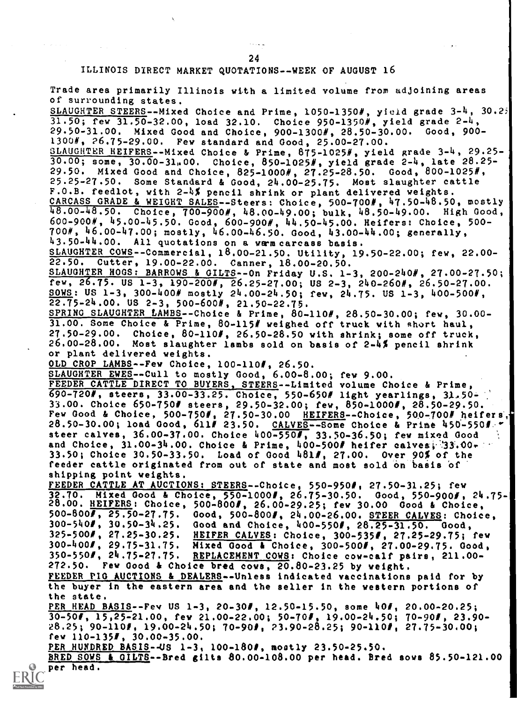24

#### ILLINOIS DIRECT MARKET QUOTATIONS- -WEEK OF AUGUST 16

Trade area primarily Illinois with a limited volume from adjoining areas of surrounding states. SLAUGHTER STEERS--Mixed Choice and Prime, 1050-1350#, yield grade 3-4, 30.25  $31.50$ ; few  $31.50-32.00$ , load  $32.10$ . Choice  $950-1350$ , yield grade  $2-4$ , 29.50-31.00. Mixed Good and Choice, 900-13001, 28.50-30.00. Good, 900- 1300#, 26.75-29.00. Few standard and Good, 25.00-27.00. SLAUGHTER HEIFERS--Mixed Choice & Prime, 875-1025#, yield grade 3-4, 29.25- $30.00;$  some,  $30.00-31,00$ . Choice,  $850-1025$ , yield grade 2-4, late 28.25-29.50. Mixed Good and Choice, 825-1000#, 27.25-28.50. Good, 800-10251, 25.25-27.50. Some Standard & Good, 24.00-25.75. Most slaughter cattle F.O.B. feedlot, with 2-4.% pencil shrink or plant delivered weights. CARCASS GRADE & WEIGHT SALES--Steers: Choice, 500-700#, 47.50-48.50, mostly 48.00-48.50. Choice, 700-900#, 48.00-49.00; bulk, 48.50-49.00. High Good, 600-9000, 45.00-45.50. Good, 600-9000, 44.50-45.00. Heifers: Choice, 500- 700#, 46.00-47.00; mostly, 46.00-46.50. Good, 43.00-44.00; generally, 43.50-44.00. All quotations on a warm carcass basis. SLAUGHTER COWS--Commercial, 18.00-21.50. Utility, 19.50-22.00; few, 22.00- 22.50. Cutter, 19.00-22.00. Canner, 18.00-20.50. SLAUGHTER HOGS: BARROWS & GILTS--On Friday U.S. 1-3, 200-240#, 27.00-27.50; few, 26.75. US 1-3, 190-200#, 26.25-27.00; US 2-3, 240-260#, 26.50-27.00. SOWS: US 1-3, 300-400# mostly 24.00-24.50; few, 24.75. US 1-3, 400-500#,  $22.75 - 24.00.$  US  $2 - 3$ ,  $500 - 600$ ,  $21.50 - 22.75.$ SPRING SLAUGHTER LAMBS--Choice & Prime, 80-110#, 28.50-30.00; few, 30.00-31.00. Some Choice & Prime, 80-115# weighed off truck with short haul, 27.50-29.00. Choice, 80-110#, 26.50-28.50 with shrink; some off truck, 26.00-28.00. Most slaughter lambs sold on basis of 2-4% pencil shrink or plant delivered weights. OLD CROP LAMBS--Few Choice, 100-110#, 26.50. SLAUGHTER EWES--Cull to mostly Good, 6.00-8.00; few 9.00. FEEDER CATTLE DIRECT TO BUYERS, STEERS--Limited volume Choice & Prime, 690-7200, steers, 33.00-33.25. Choice, 550-6500 light yearlings, 31,50- 33.00. Choice 650-7501 steers, 29.50-32.00; few, 850-10000, 28.50-29.50. Few Good & Choice, 500-750#, 27.50-30.00 HEIFERS--Choice, 500-700# heifers, 28.50-30.00; load Good, 611# 23.50. CALVES--Some Choice & Prime 450-550#. steer calves,  $36.00-37.00$ . Choice  $400-550$ , 33.50-36.50; few mixed Good and Choice, 31.00-34.00. Choice & Prime, 400-500# heifer calves, 33.00,  $\sim$ 33.50; Choice 30.50-33.50. Load of Good 4810, 27.00. Over 90% of the feeder cattle originated from out of state and most sold on basis of shipping point weights. FEEDER CATTLE AT AUCTIONS: STEERS--Choice, 550-950#, 27.50-31.25; few<br>32.70. Mixed Good & Choice, 550-1000#, 26.75-30.50. Good, 550-900#, Mixed Good & Choice, 550-1000#, 26.75-30.50. Good, 550-900#, 24.75-28.00. <u>HEIFERS</u>: Choice, 500-800#, 26.00-29.25; few 30.00 Good & Choice,<br>500-800#, 25.50-27.75. Good, 500-800#, 24.00-26.00. STEER CALVES: Choic 500-800#, 25.50-27.75. 0ood, 500-800#, 24.00-26.00. <u>STEER CALVES</u>: Choice,<br>300-540#, 30.50-34.25. Good and Choice, 400-550#, 28.25-31.50. Good, 300-540#, 30.50-34.25. Good and Choice, 400-550#, 28.25-31.50. Good,<br>325-500#, 27.25-30.25. HBIFER CALVES: Choice, 300-535#, 27.25-29.75; 325-500#, 27.25-30.25. <u>HEIFER CALVES</u>: Choice, 300-535#, 27.25-29.75; few<br>300-400#, 29.75-31.75. Mixed Good & Choice, 300-500#, 27.00-29.75. Good, 300-400#, 29.75-31.75. Mixed Good & Choice, 300-500#, 27.00-29.75. Good,<br>350-550#, 24.75-27.75. <u>REPLACEMENT COWS</u>: Choice cow-calf pairs, 211.00-REPLACEMENT COWS: Choice cow-calf pairs, 211.00-272.50. Few Good & Choice bred cows, 20.80-23.25 by weight. FEEDER PIG AUCTIONS & DEALERS--Unless indicated vaccinations paid for by the buyer in the eastern area and the seller in the western portions of the state. PER HEAD BASIS--Fev US 1-3, 20-30#, 12.50-15.50, some 40#, 20.00-20.25; 30-501, 15,25-21.00, few 21.00-22.00; 50-700, 19.00-24.50; 70-900, 23.90- 28.25; 90-1100, 19.00-24.50; 70-900, 23.90-28.25; 90-1100, 27.75-30.00; few 110-1350, 30.00-35.00. PER HUNDRED BASIS--US 1-3, 100-1800, mostly 23.50-25.50. BRED SOWS & OILTS- -Bred gilts 80.00-108.00 per head. Bred sows 85.50-121.00 per head.